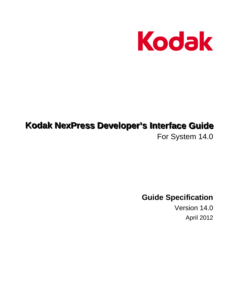

# **Kodak NexPress Developer's Interface Guide**

For System 14.0

**Guide Specification**

Version 14.0 April 2012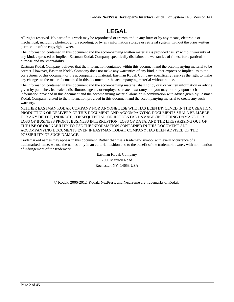# **LEGAL**

All rights reserved. No part of this work may be reproduced or transmitted in any form or by any means, electronic or mechanical, including photocopying, recording, or by any information storage or retrieval system, without the prior written permission of the copyright owner.

The information contained in this document and the accompanying written materials is provided "as is" without warranty of any kind, expressed or implied. Eastman Kodak Company specifically disclaims the warranties of fitness for a particular purpose and merchantability.

Eastman Kodak Company believes that the information contained within this document and the accompanying material to be correct. However, Eastman Kodak Company does not make any warranties of any kind, either express or implied, as to the correctness of this document or the accompanying material. Eastman Kodak Company specifically reserves the right to make any changes to the material contained in this document or the accompanying material without notice.

The information contained in this document and the accompanying material shall not by oral or written information or advice given by publisher, its dealers, distributors, agents, or employees create a warranty and you may not rely upon such information provided in this document and the accompanying material alone or in combination with advise given by Eastman Kodak Company related to the information provided in this document and the accompanying material to create any such warranty.

NEITHER EASTMAN KODAK COMPANY NOR ANYONE ELSE WHO HAS BEEN INVOLVED IN THE CREATION, PRODUCTION OR DELIVERY OF THIS DOCUMENT AND ACCOMPANYING DOCUMENTS SHALL BE LIABLE FOR ANY DIRECT, INDIRECT, CONSEQUENTIAL, OR INCIDENTAL DAMAGE (INCLUDING DAMAGE FOR LOSS OF BUSINESS PROFIT, BUSINESS INTERRUPTION, LOSS OF DATA, AND THE LIKE) ARISING OUT OF THE USE OF OR INABILITY TO USE THE INFORMATION CONTAINED IN THIS DOCUMENT AND ACCOMPANYING DOCUMENTS EVEN IF EASTMAN KODAK COMPANY HAS BEEN ADVISED OF THE POSSIBILITY OF SUCH DAMAGE.

Trademarked names may appear in this document. Rather than use a trademark symbol with every occurrence of a trademarked name, we use the names only in an editorial fashion and to the benefit of the trademark owner, with no intention of infringement of the trademark.

> Eastman Kodak Company 2600 Manitou Road Rochester, NY 14653 USA

© Kodak. 2006-2012. Kodak, NexPress, and NexTreme are trademarks of Kodak.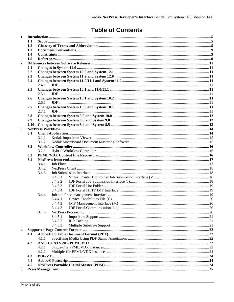# **Table of Contents**

| 1              |      |       |         |  |  |  |  |  |
|----------------|------|-------|---------|--|--|--|--|--|
|                | 1.1  |       |         |  |  |  |  |  |
|                | 1.2  |       |         |  |  |  |  |  |
|                | 1.3  |       |         |  |  |  |  |  |
|                | 1.4  |       |         |  |  |  |  |  |
|                | 1.5  |       |         |  |  |  |  |  |
| $\overline{2}$ |      |       |         |  |  |  |  |  |
|                | 2.1  |       |         |  |  |  |  |  |
|                | 2.2  |       |         |  |  |  |  |  |
|                | 2.3  |       |         |  |  |  |  |  |
|                | 2.4  |       |         |  |  |  |  |  |
|                |      | 2.4.1 |         |  |  |  |  |  |
|                | 2.5  |       |         |  |  |  |  |  |
|                |      | 2.5.1 |         |  |  |  |  |  |
|                | 2.6  |       |         |  |  |  |  |  |
|                |      | 2.6.1 |         |  |  |  |  |  |
|                | 2.7  |       |         |  |  |  |  |  |
|                |      | 2.71  |         |  |  |  |  |  |
|                | 2.8  |       |         |  |  |  |  |  |
|                | 2.9  |       |         |  |  |  |  |  |
|                | 2.10 |       |         |  |  |  |  |  |
| 3              |      |       |         |  |  |  |  |  |
|                | 3.1  |       |         |  |  |  |  |  |
|                |      | 3.1.1 |         |  |  |  |  |  |
|                |      | 3.1.2 |         |  |  |  |  |  |
|                | 3.2  |       |         |  |  |  |  |  |
|                |      | 3.2.1 |         |  |  |  |  |  |
|                | 3.3  |       |         |  |  |  |  |  |
|                | 3.4  |       |         |  |  |  |  |  |
|                |      | 3.4.1 |         |  |  |  |  |  |
|                |      | 3.4.2 |         |  |  |  |  |  |
|                |      | 3.4.3 |         |  |  |  |  |  |
|                |      |       | 3.4.3.1 |  |  |  |  |  |
|                |      |       | 3.4.3.2 |  |  |  |  |  |
|                |      |       | 3.4.3.3 |  |  |  |  |  |
|                |      |       | 3.4.3.4 |  |  |  |  |  |
|                |      | 3.4.4 |         |  |  |  |  |  |
|                |      |       | 3.4.4.1 |  |  |  |  |  |
|                |      |       | 3.4.4.2 |  |  |  |  |  |
|                |      |       | 3.4.4.3 |  |  |  |  |  |
|                |      | 3.4.5 |         |  |  |  |  |  |
|                |      |       | 3.4.5.1 |  |  |  |  |  |
|                |      |       | 3.4.5.2 |  |  |  |  |  |
|                |      |       | 3.4.5.3 |  |  |  |  |  |
| 4              |      |       |         |  |  |  |  |  |
|                | 4.1  |       |         |  |  |  |  |  |
|                |      | 4.1.1 |         |  |  |  |  |  |
|                | 4.2  |       |         |  |  |  |  |  |
|                |      | 4.2.1 |         |  |  |  |  |  |
|                |      | 4.2.2 |         |  |  |  |  |  |
|                | 4.3  |       |         |  |  |  |  |  |
|                | 4.4  |       |         |  |  |  |  |  |
|                | 4.5  |       |         |  |  |  |  |  |
| 5              |      |       |         |  |  |  |  |  |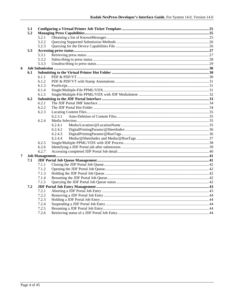|                | 5.1 |       |         |  |  |  |
|----------------|-----|-------|---------|--|--|--|
|                | 5.2 |       |         |  |  |  |
|                |     | 5.2.1 |         |  |  |  |
|                |     | 5.2.2 |         |  |  |  |
|                |     | 5.2.3 |         |  |  |  |
|                | 5.3 |       |         |  |  |  |
|                |     | 5.3.1 |         |  |  |  |
|                |     | 5.3.2 |         |  |  |  |
|                |     | 5.3.3 |         |  |  |  |
| 6              |     |       |         |  |  |  |
|                | 6.1 |       |         |  |  |  |
|                |     | 6.1.1 |         |  |  |  |
|                |     | 6.1.2 |         |  |  |  |
|                |     | 6.1.3 |         |  |  |  |
|                |     | 6.1.4 |         |  |  |  |
|                |     | 6.1.5 |         |  |  |  |
|                | 6.2 |       |         |  |  |  |
|                |     | 6.2.1 |         |  |  |  |
|                |     | 6.2.2 |         |  |  |  |
|                |     | 6.2.3 |         |  |  |  |
|                |     |       | 6.2.3.1 |  |  |  |
|                |     | 6.2.4 |         |  |  |  |
|                |     |       | 6.2.4.1 |  |  |  |
|                |     |       | 6.2.4.2 |  |  |  |
|                |     |       | 6.2.4.3 |  |  |  |
|                |     |       | 6.2.4.4 |  |  |  |
|                |     | 6.2.5 |         |  |  |  |
|                |     | 6.2.6 |         |  |  |  |
|                |     | 6.2.7 |         |  |  |  |
| $\overline{7}$ |     |       |         |  |  |  |
|                | 7.1 |       |         |  |  |  |
|                |     | 7.1.1 |         |  |  |  |
|                |     | 7.1.2 |         |  |  |  |
|                |     | 7.1.3 |         |  |  |  |
|                |     | 7.1.4 |         |  |  |  |
|                |     | 7.1.5 |         |  |  |  |
|                | 7.2 |       |         |  |  |  |
|                |     | 7.2.1 |         |  |  |  |
|                |     | 7.2.2 |         |  |  |  |
|                |     | 7.2.3 |         |  |  |  |
|                |     | 7.2.4 |         |  |  |  |
|                |     | 7.2.5 |         |  |  |  |
|                |     | 7.2.6 |         |  |  |  |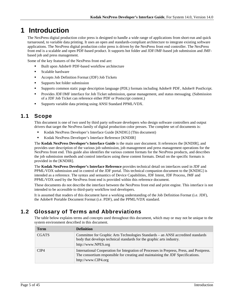# <span id="page-4-0"></span>**1 Introduction**

The NexPress digital production color press is designed to handle a wide range of applications from short-run and quick turnaround, to variable data printing. It uses an open and standards-compliant architecture to integrate existing software applications. The NexPress digital production color press is driven by the NexPress front end controller. The NexPress front end is a scalable and open PDF-based product. It supports hot folder and JDF/JMF-based job submission and JMFbased job and press management.

Some of the key features of the NexPress front end are:

- Built upon Adobe® PDF-based workflow architecture
- **Scalable hardware**
- Accepts Job Definition Format (JDF) Job Tickets
- Supports hot folder submission
- Supports common static page description language (PDL) formats including Adobe® PDF, Adobe® PostScript.
- **Provides JDF/JMF interface for Job Ticket submission, queue management, and status messaging. (Submission** of a JDF Job Ticket can reference either PDF or Postscript content.)
- Supports variable data printing using ANSI Standard PPML/VDX.

# <span id="page-4-1"></span>**1.1 Scope**

This document is one of two used by third party software developers who design software controllers and output drivers that target the NexPress family of digital production color presses. The complete set of documents is:

- Kodak NexPress Developer's Interface Guide [KNDIG] (This document)
- Kodak NexPress Developer's Interface Reference [KNDIR]

The **Kodak NexPress Developer's Interface Guide** is the main user document. It references the [KNDIR], and provides user description of the various job submission, job management and press management operations for the NexPress front end. This guide also identifies the various content formats for the NexPress products, and describes the job submission methods and control interfaces using these content formats. Detail on the specific formats is provided in the [KNDIR].

The **Kodak NexPress Developer's Interface Reference** provides technical detail on interfaces used in JDF and PPML/VDX submission and in control of the JDF portal. This technical companion document to the [KNDIG] is intended as a reference. The syntax and semantics of Device Capabilities, JDF Intent, JDF Process, JMF and PPML/VDX used by the NexPress front end is provided within this reference document.

These documents do not describe the interface between the NexPress front end and print engine. This interface is not intended to be accessible to third-party workflow tool developers.

It is assumed that readers of this document have a working understanding of the Job Definition Format (i.e. JDF), the Adobe® Portable Document Format (i.e. PDF), and the PPML/VDX standard.

# <span id="page-4-2"></span>**1.2 Glossary of Terms and Abbreviations**

The table below explains terms and concepts used throughout this document, which may or may not be unique to the system environment described in this document.

| Term         | <b>Definition</b>                                                                                                                                                                                   |
|--------------|-----------------------------------------------------------------------------------------------------------------------------------------------------------------------------------------------------|
| <b>CGATS</b> | Committee for Graphic Arts Technologies Standards – an ANSI accredited standards<br>body that develops technical standards for the graphic arts industry.<br>http://www.NPES.org                    |
| CIP4         | International Cooperation for Integration of Processes in Prepress, Press, and Postpress.<br>The consortium responsible for creating and maintaining the JDF Specifications.<br>http://www.CIP4.org |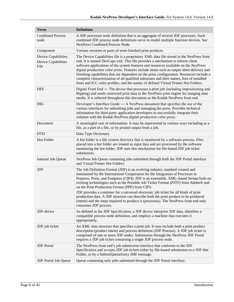| <b>Term</b>                                                | <b>Definition</b>                                                                                                                                                                                                                                                                                                                                                                                                                                                                                                                                                                                                                                                                                      |  |  |
|------------------------------------------------------------|--------------------------------------------------------------------------------------------------------------------------------------------------------------------------------------------------------------------------------------------------------------------------------------------------------------------------------------------------------------------------------------------------------------------------------------------------------------------------------------------------------------------------------------------------------------------------------------------------------------------------------------------------------------------------------------------------------|--|--|
| <b>Combined Process</b><br>node                            | A JDF processes node definition that is an aggregate of several JDF processes. Such<br>combined JDF process node definitions serve to model multiple function devices. See<br>NexPress Combined Process Node.                                                                                                                                                                                                                                                                                                                                                                                                                                                                                          |  |  |
| Component                                                  | Various versions or parts of semi-finished print products.                                                                                                                                                                                                                                                                                                                                                                                                                                                                                                                                                                                                                                             |  |  |
| Device Capabilities;<br><b>Device Capabilities</b><br>File | The Device Capabilities file is a proprietary XML data file stored in the NexPress front<br>end. It is named DevCaps.xml. This file provides a mechanism to inform client<br>software applications of the system features and resources available on the NexPress<br>digital production color press. Features include items such as output sheet delivery and<br>finishing capabilities that are dependent on the press configuration. Resources include a<br>complete characterization of all qualified substrates and their names, lists of installed<br>fonts and ICC color profiles, and the names of defined Virtual Printer Hot Folders.                                                         |  |  |
| <b>DFE</b>                                                 | Digital Front End — The device that processes a print job (including impositioning and<br>Ripping) and sends rasterized print data to the NexPress print engine for imaging onto<br>media. It is referred throughout this document as the Kodak NexPress front end.                                                                                                                                                                                                                                                                                                                                                                                                                                    |  |  |
| <b>DIG</b>                                                 | Developer's Interface Guide $-$ A NexPress document that specifies the use of the<br>various interfaces for submitting jobs and managing the press. Provides technical<br>information for third-party application developers to successfully integrate their<br>solution with the Kodak NexPress digital production color press.                                                                                                                                                                                                                                                                                                                                                                       |  |  |
| Document                                                   | A meaningful unit of information. It may be represented in various ways including as a<br>file, as a part of a file, or by printed output from a job.                                                                                                                                                                                                                                                                                                                                                                                                                                                                                                                                                  |  |  |
| <b>DTD</b>                                                 | Data Type Dictionary                                                                                                                                                                                                                                                                                                                                                                                                                                                                                                                                                                                                                                                                                   |  |  |
| <b>Hot Folder</b>                                          | A hot folder is a file system directory that is monitored by a software process. Files<br>placed into a hot folder are treated as input data and are processed by the software<br>monitoring the hot folder. JDF uses this mechanism for file-based JDF job ticket<br>submission.                                                                                                                                                                                                                                                                                                                                                                                                                      |  |  |
| Internal Job Queue                                         | NexPress Job Queue containing jobs submitted through both the JDF Portal interface<br>and Virtual Printer Hot Folders.                                                                                                                                                                                                                                                                                                                                                                                                                                                                                                                                                                                 |  |  |
| JDF                                                        | The Job Definition Format (JDF) is an evolving industry standard created and<br>maintained by the International Cooperation for the Integration of Processes in<br>Prepress, Press, and Postpress (CIP4). JDF is an extensible, XML-based format built on<br>existing technologies such as the Portable Job Ticket Format (PJTF) from Adobe® and<br>on the Print Production Format (PPF) from CIP3.<br>JDF provides a container for a universal electronic job ticket for all kinds of print<br>production data. A JDF structure can describe both the print product to be produced<br>(intent) and the steps required to produce it (processes). The NexPress front end only<br>consumes JDF process. |  |  |
| JDF device                                                 | As defined in the JDF Specification, a JDF device interprets JDF data, identifies a<br>compatible process node definition, and employs a machine that executes it<br>appropriately.                                                                                                                                                                                                                                                                                                                                                                                                                                                                                                                    |  |  |
| JDF job ticket                                             | An XML data structure that specifies a print job. It may include both a print product<br>description (product intent) and process definition (JDF Process). A JDF job ticket is<br>comprised of one or more JDF nodes. Submission through the NexPress JDF Portal<br>requires a JDF job ticket containing a single JDF process node.                                                                                                                                                                                                                                                                                                                                                                   |  |  |
| <b>JDF</b> Portal                                          | The NexPress front end's job submission interface that conforms to the JDF<br>Specification and accepts JDF job tickets either by file-based submission to a JDF Hot<br>Folder, or by a SubmitQueueEntry JMF message.                                                                                                                                                                                                                                                                                                                                                                                                                                                                                  |  |  |
| <b>JDF</b> Portal Job Queue                                | Queue containing only jobs submitted through the JDF Portal interface.                                                                                                                                                                                                                                                                                                                                                                                                                                                                                                                                                                                                                                 |  |  |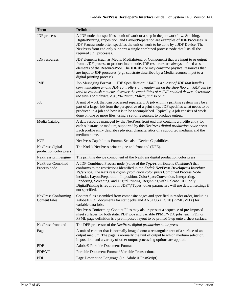| <b>Term</b>                                        | <b>Definition</b>                                                                                                                                                                                                                                                                                                                                                                                                                                                                                                                       |  |  |  |
|----------------------------------------------------|-----------------------------------------------------------------------------------------------------------------------------------------------------------------------------------------------------------------------------------------------------------------------------------------------------------------------------------------------------------------------------------------------------------------------------------------------------------------------------------------------------------------------------------------|--|--|--|
| JDF process                                        | A JDF node that specifies a unit of work or a step in the job workflow. Stitching,<br>DigitalPrinting, Imposition, and LayoutPreparation are examples of JDF Processes. A<br>JDF Process node often specifies the unit of work to be done by a JDF Device. The<br>NexPress front end only supports a single combined process node that lists all the<br>required JDF processes.                                                                                                                                                         |  |  |  |
| <b>JDF</b> resources                               | JDF elements (such as Media, MediaIntent, or Component) that are input to or output<br>from a JDF process or product intent node. JDF resources are always defined as sub-<br>elements of the ResourcePool. The JDF device may consume physical resources that<br>are input to JDF processes (e.g., substrate described by a Media resource input to a<br>digital printing process).                                                                                                                                                    |  |  |  |
| <b>JMF</b>                                         | Job Messaging Format - JDF Specification: "JMF is a subset of JDF that handles<br>communication among JDF controllers and equipment on the shop floor JMF can be<br>used to establish a queue, discover the capabilities of a JDF-enabled device, determine<br>the status of a device, e.g., "RIPing", "Idle", and so on."                                                                                                                                                                                                              |  |  |  |
| Job                                                | A unit of work that can processed separately. A job within a printing system may be a<br>part of a larger job from the perspective of a print shop. JDF specifies what needs to be<br>produced in a job and how it is to be accomplished. Typically, a job consists of work<br>done on one or more files, using a set of resources, to produce output.                                                                                                                                                                                  |  |  |  |
| Media Catalog                                      | A data resource managed by the NexPress front end that contains a profile entry for<br>each substrate, or medium, supported by this NexPress digital production color press.<br>Each profile entry describes physical characteristics of a supported medium, and the<br>medium name.                                                                                                                                                                                                                                                    |  |  |  |
| <b>NCF</b>                                         | NexPress Capabilities Format. See also: Device Capabilities                                                                                                                                                                                                                                                                                                                                                                                                                                                                             |  |  |  |
| NexPress digital<br>production color press         | The Kodak NexPress print engine and front end (DFE).                                                                                                                                                                                                                                                                                                                                                                                                                                                                                    |  |  |  |
| NexPress print engine                              | The printing device component of the NexPress digital production color press                                                                                                                                                                                                                                                                                                                                                                                                                                                            |  |  |  |
| <b>NexPress Combined</b><br>Process node           | A JDF-Combined Process node (value of the Types attribute is <i>Combined</i> ) that<br>conforms to the restrictions identified in the Kodak NexPress Developer's Interface<br>Reference. The NexPress digital production color press Combined Process Node<br>includes LayoutPreparation, Imposition, ColorSpaceConversion, Interpreting,<br>Rendering, Screening, and DigitalPrinting. Beginning with Release 10.1, only<br>DigitalPrinting is required in JDF/@Types, other parameters will use default settings if<br>not specified. |  |  |  |
| <b>NexPress Conforming</b><br><b>Content Files</b> | Content files assembled from composite pages and specified in reader order, including<br>Adobe® PDF documents for static jobs and ANSI CGATS.20 (PPML/VDX) for<br>variable data jobs.<br>NexPress Conforming Content Files may also represent a sequence of pre-imposed<br>sheet surfaces for both static PDF jobs and variable PPML/VDX jobs; each PDF or<br>PPML page definition is a pre-imposed layout to be printed 1-up onto a sheet surface.                                                                                     |  |  |  |
| NexPress front end                                 | The DFE processor of the NexPress digital production color press                                                                                                                                                                                                                                                                                                                                                                                                                                                                        |  |  |  |
| Page                                               | A unit of content that is normally imaged onto a rectangular area of a surface of an<br>output medium. The page is normally the unit of output to which medium selection,<br>imposition, and a variety of other output processing options are applied.                                                                                                                                                                                                                                                                                  |  |  |  |
| <b>PDF</b>                                         | Adobe® Portable Document Format                                                                                                                                                                                                                                                                                                                                                                                                                                                                                                         |  |  |  |
| PDF/VT                                             | Portable Document Format / Variable Transactional                                                                                                                                                                                                                                                                                                                                                                                                                                                                                       |  |  |  |
| <b>PDL</b>                                         | Page Description Language (i.e. Adobe® PostScript).                                                                                                                                                                                                                                                                                                                                                                                                                                                                                     |  |  |  |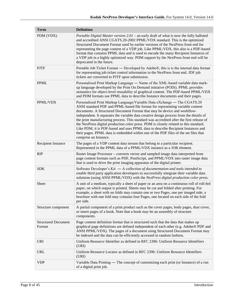| <b>Term</b>                          | <b>Definition</b>                                                                                                                                                                                                                                                                                                                                                                                                                                                                                                                                                                                                                                                                                                           |  |  |  |
|--------------------------------------|-----------------------------------------------------------------------------------------------------------------------------------------------------------------------------------------------------------------------------------------------------------------------------------------------------------------------------------------------------------------------------------------------------------------------------------------------------------------------------------------------------------------------------------------------------------------------------------------------------------------------------------------------------------------------------------------------------------------------------|--|--|--|
| PDM (VDX)                            | Portable Digital Master version $2.01$ – an early draft of what is now the fully balloted<br>and accredited ANSI CGATS.20-2002 PPML/VDX standard. This is the optimized<br>Structured Document Format used by earlier versions of the NexPress front end for<br>representing the page content of a VDP job. Like PPML/VDX, this also is a PDF-based<br>format that contains PPML data and is used to encode the many Recipient Instances of<br>a VDP job in a highly optimized way. PDM support by the NexPress front end will be<br>deprecated in the future.                                                                                                                                                              |  |  |  |
| <b>PJTF</b>                          | Portable Job Ticket Format — Developed by Adobe®, this is is the internal data format<br>for representing job ticket control information in the NexPress front end. JDF job<br>tickets are converted to PJTF upon submission.                                                                                                                                                                                                                                                                                                                                                                                                                                                                                               |  |  |  |
| <b>PPML</b>                          | Personalized Print Markup Language - Name of the XML-based variable data mark-<br>up language developed by the Print On Demand initiative (PODi). PPML provides<br>semantics for object-level reusability of graphical content. The PDF-based PPML/VDX<br>and PDM formats use PPML data to describe Instance documents and their pages.                                                                                                                                                                                                                                                                                                                                                                                     |  |  |  |
| PPML/VDX                             | Personalized Print Markup Language/Variable Data eXchange — The CGATS.20<br>ANSI standard PDF and PPML-based file format for representing variable content<br>documents. A Structured Document Format that may be device and workflow-<br>independent. It separates the variable data creative design process from the details of<br>the print manufacturing process. This standard was accredited after the first release of<br>the NexPress digital production color press. PDM is closely related to this standard.<br>Like PDM, it is PDF-based and uses PPML data to describe Recipient Instances and<br>their pages. PPML data is embedded within one of the PDF files of the set files that<br>comprise an Instance. |  |  |  |
| <b>Recipient Instance</b>            | The pages of a VDP content data stream that belong to a particular recipient.<br>Represented in the PPML data of a PPML/VDX instance as a JOB element.                                                                                                                                                                                                                                                                                                                                                                                                                                                                                                                                                                      |  |  |  |
| <b>RIP</b>                           | Raster Image Processor – converts vector and sampled image data interpreted from<br>page content formats such as PDF, PostScript, and PPML/VDX into raster image data<br>that is used to drive the print imaging apparatus of the digital printer.                                                                                                                                                                                                                                                                                                                                                                                                                                                                          |  |  |  |
| <b>SDK</b>                           | Software Developer's Kit $-$ A collection of documentation and tools intended to<br>enable third party application developers to successfully integrate their variable data<br>solutions (using ANSI PPML/VDX) with the NexPress digital production color press.                                                                                                                                                                                                                                                                                                                                                                                                                                                            |  |  |  |
| Sheet                                | A unit of a medium, typically a sheet of paper or an area on a continuous roll of roll-fed<br>paper, on which output is printed. Sheets may be cut and folded after printing. For<br>example, a sheet with no folds may contain one or two Pages, one per imaged side; a<br>brochure with one fold may contains four Pages, one located on each side of the fold<br>per side.                                                                                                                                                                                                                                                                                                                                               |  |  |  |
| Structure component                  | A partial component of a print product such as the cover pages, body pages, dust cover,<br>or insert pages of a book. Note that a book may be an assembly of structure<br>components.                                                                                                                                                                                                                                                                                                                                                                                                                                                                                                                                       |  |  |  |
| <b>Structured Document</b><br>Format | Page content definition format that is structured such that the data that makes up<br>graphical page definitions are defined independent of each other (e.g. Adobe® PDF and<br>ANSI PPML/VDX). The pages of a document using Structured Document Format may<br>be indexed and the data can be efficiently accessed in random fashion.                                                                                                                                                                                                                                                                                                                                                                                       |  |  |  |
| <b>URI</b>                           | Uniform Resource Identifier as defined in RFC 2396: Uniform Resource Identifiers<br>(URI)                                                                                                                                                                                                                                                                                                                                                                                                                                                                                                                                                                                                                                   |  |  |  |
| URL                                  | Uniform Resource Locator as defined in RFC 2396: Uniform Resource Identifiers<br>(URI)                                                                                                                                                                                                                                                                                                                                                                                                                                                                                                                                                                                                                                      |  |  |  |
| <b>VDP</b>                           | Variable Data Printing — The concept of customizing each print (or Instance) of a run<br>of a digital print job.                                                                                                                                                                                                                                                                                                                                                                                                                                                                                                                                                                                                            |  |  |  |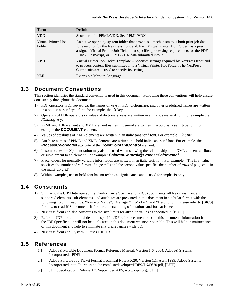| <b>Term</b>                   | <b>Definition</b>                                                                                                                                                                                                                                                                                                               |
|-------------------------------|---------------------------------------------------------------------------------------------------------------------------------------------------------------------------------------------------------------------------------------------------------------------------------------------------------------------------------|
| <b>VDX</b>                    | Short term for PPML/VDX. See PPML/VDX                                                                                                                                                                                                                                                                                           |
| Virtual Printer Hot<br>Folder | An active operating system folder that provides a mechanism to submit print job data<br>for execution by the NexPress front end. Each Virtual Printer Hot Folder has a pre-<br>assigned Virtual Printer Job Ticket that specifies processing requirements for the PDF,<br>PDM2, PostScript, or PPML/VDX data submitted into it. |
| <b>VPITT</b>                  | Virtual Printer Job Ticket Template – Specifies settings required by NexPress front end<br>to process content files submitted into a Virtual Printer Hot Folder. The NexPress<br>Client software is used to specify its settings.                                                                                               |
| XML                           | Extensible Markup Language                                                                                                                                                                                                                                                                                                      |

# <span id="page-8-0"></span>**1.3 Document Conventions**

This section identifies the standard conventions used in this document. Following these conventions will help ensure consistency throughout the document.

- 1) PDF operators, PDF keywords, the names of keys in PDF dictionaries, and other predefined names are written in a bold sans serif type font; for example, the **ID** key.
- 2) Operands of PDF operators or values of dictionary keys are written in an italic sans serif font, for example the */Catalog* key.
- 3) PPML and JDF element and XML element names in general are written in a bold sans serif type font, for example the **DOCUMENT** element.
- 4) Values of attributes of XML elements are written in an italic sans serif font. For example: *LineArt.*
- 5) Attribute names of PPML and XML elements are written in a bold italic sans serif font. For example, the *ProcessColorModel* attribute of the **ColorColorantControl** element.
- 6) In some cases the Xpath notation may also be used when showing the relationship of an XML element attribute or sub-element to an element. For example: *ColorantControl/@ProcessColorModel*.
- 7) Placeholders for normally variable information are written in an italic serif font. For example: "The first value specifies the number of *columns* of page cells and the second value specifies the number of *rows* of page cells in the multi–up grid".
- 8) Within examples, use of bold font has no technical significance and is used for emphasis only.

# <span id="page-8-1"></span>**1.4 Constraints**

- 1) Similar to the CIP4 Interoperability Conformance Specification (ICS) documents, all NexPress front end supported elements, sub-elements, and attributes are presented in this document in a tabular format with the following column headings: "Name or Value", "Manager", "Worker", and "Description". Please refer to [BICS] for how to read ICS documents if further understanding of notations and format is needed.
- 2) NexPress front end also conforms to the size limits for attribute values as specified in [BICS].
- 3) Refer to [JDF] for additional detail on specific JDF references mentioned in this document. Information from the JDF Specification will not be duplicated in this document whenever possible. This will help in maintenance of this document and help to eliminate any discrepancies with [JDF].
- 4) NexPress front end, System 9.0 uses JDF 1.3.

# <span id="page-8-2"></span>**1.5 References**

- [ 1 ] Adobe® Portable Document Format Reference Manual, Version 1.6, 2004, Adobe® Systems Incorporated, [PDF]
- [ 2 ] Adobe Portable Job Ticket Format Technical Note #5620, Version 1.1, April 1999, Adobe Systems Incorporated, http://partners.adobe.com/asn/developer/PDFS/TN/5620.pdf, [PJTF]
- [ 3 ] JDF Specification, Release 1.3, September 2005, www.cip4.org, [JDF]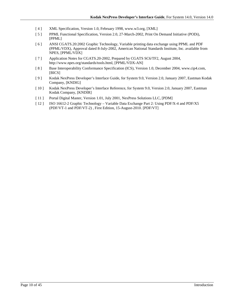- [ 4 ] XML Specification, Version 1.0, February 1998[, www.w3.org,](http://www.w3.org/) [XML]
- [ 5 ] PPML Functional Specification, Version 2.0, 27-March-2002, Print On Demand Initiative (PODi), [PPML]
- [ 6 ] ANSI CGATS.20:2002 Graphic Technology, Variable printing data exchange using PPML and PDF (PPML/VDX), Approval dated 8-July-2002, American National Standards Institute, Inc. available from NPES, [PPML/VDX]
- [ 7 ] Application Notes for CGATS.20-2002, Prepared by CGATS SC6/TF2, August 2004, http://www.npes.org/standards/tools.html, [PPML/VDX-AN]
- [8] Base Interoperability Conformance Specification (ICS), Version 1.0, December 2004, www.cip4.com, [BICS]
- [ 9 ] Kodak NexPress Developer's Interface Guide, for System 9.0, Version 2.0, January 2007, Eastman Kodak Company, [KNDIG]
- [ 10 ] Kodak NexPress Developer's Interface Reference, for System 9.0, Version 2.0, January 2007, Eastman Kodak Company, [KNDIR]
- [ 11 ] Portal Digital Master, Version 1.01, July 2001, NexPress Solutions LLC, [PDM]
- [ 12 ] ISO 16612-2 Graphic Technology Variable Data Exchange Part 2: Using PDF/X-4 and PDF/X5 (PDF/VT-1 and PDF/VT-2) , First Edition, 15-August-2010. [PDF/VT]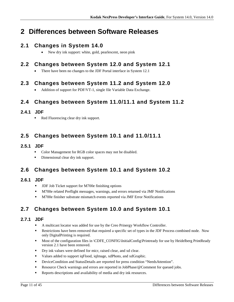# <span id="page-10-0"></span>**2 Differences between Software Releases**

# <span id="page-10-1"></span>**2.1 Changes in System 14.0**

• New dry ink support: white, gold, pearlescent, neon pink

# <span id="page-10-2"></span>**2.2 Changes between System 12.0 and System 12.1**

• There have been no changes to the JDF Portal interface in System 12.1

# <span id="page-10-3"></span>**2.3 Changes between System 11.2 and System 12.0**

• Addition of support for PDF/VT-1, single file Variable Data Exchange.

# <span id="page-10-4"></span>**2.4 Changes between System 11.0/11.1 and System 11.2**

## <span id="page-10-5"></span>**2.4.1 JDF**

Red Fluorescing clear dry ink support.

# <span id="page-10-6"></span>**2.5 Changes between System 10.1 and 11.0/11.1**

### <span id="page-10-7"></span>**2.5.1 JDF**

- Color Management for RGB color spaces may not be disabled.
- Dimensional clear dry ink support.

# <span id="page-10-8"></span>**2.6 Changes between System 10.1 and System 10.2**

## <span id="page-10-9"></span>**2.6.1 JDF**

- **JDF Job Ticket support for M700e finishing options**
- M700e related Preflight messages, warnings, and errors returned via JMF Notifications
- M700e finisher substrate mismatch events reported via JMF Error Notifications

# <span id="page-10-10"></span>**2.7 Changes between System 10.0 and System 10.1**

### <span id="page-10-11"></span>**2.7.1 JDF**

- A multicast locator was added for use by the Creo Prinergy Workflow Controller.
- **Restrictions have been removed that required a specific set of types in the JDF Process combined node. Now** only DigitalPrinting is required.
- Most of the configuration files in \CDFE\_CONFIG\InitialConfig\Printready for use by Heidelberg PrintReady version 2.1 have been removed.
- Dry ink values were defined for micr, raised clear, and xd clear.
- Values added to support iqFlood, iqImage, xdPhoto, and xdGraphic.
- DeviceCondition and StatusDetails are reported for press condition "NeedsAttention".
- Resource Check warnings and errors are reported in JobPhase/@Comment for queued jobs.
- Reports descriptions and availability of media and dry ink resources.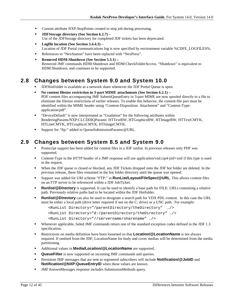- Custom attribute NXP:StopPoints created to stop job during processing.
- **JDFStorage directory (See Section [6.2.7\)](#page-39-0) –** Use of the JDFStorage directory for completed JDF tickets has been deprecated.
- **Logfile location (See Section [3.4.4.3\)](#page-19-2) –** Location of JDF Portal communications log is now specified by environment variable %CDFE\_LOGFILES%.
- References to "NexStation" have been replaced with "NexPress".
- **Removed HDM:Shutdown (See Section 5.3.1)** Removed JMF commands HDM:Shutdown and HDM:CheckFolderAccess. "Shutdown" is equivalent to HDM:Shutdown, and continues to be supported.

# <span id="page-11-0"></span>**2.8 Changes between System 9.0 and System 10.0**

- JDFHotFolder is available as a network share whenever the JDF Portal Queue is open.
- **No content filesize restriction in 3-part MIME attachments (See Sectio[n 6.2.1\)](#page-33-0) –** PDF content files accompanying JMF SubmitQueueEntry in 3-part MIME are now spooled directly to a file to eliminate the filesize restrictions of earlier releases. To enable this behavior, the content-file part must be identified within the MIME header using "Content-Disposition: Attachment" and "Content-Type: application/pdf".
- " "DeviceDefault" is now interpretated as "Gradation" for the following attributes within RenderingParams/NXP:CLCDDIQParams: HTTextBW, HTGraphicsBW, HTImageBW, HTTextCMYK, HTLineCMYK, HTGraphicsCMYK, HTImageCMYK.
- Support for "ftp:" added to QueueSubmissionParams/@URL.

# <span id="page-11-1"></span>**2.9 Changes between System 8.5 and System 9.0**

- Postscript support has been added for content files in a JDF runlist. In previous releases only PDF was supported.
- Content-Type in the HTTP header of a JMF response will use application/vnd.cip4-jmf+xml if this type is used in the request.
- When the JDF queue is closed or blocked, any JDF Tickets dropped onto the JDF hot folder are deleted. In the previous release, these files remained in the hot folder directory until the queue was opened.
- Support was added for URI scheme "FTP:" in **RunList/Layout/FileSpec/@URL**. This allows content files on an FTP server to be referenced within a JDF JobTicket.
- **Runlist/@Directory** is supported. It can be used to identify a base path for FILE: URLs containing a relative path. Previously relative paths had to be located within the JDF Hotfolder.
- **Runlist/@Directory** can also be used to designate a search path for VDX PDL content. In this case the URL must be either a local path (drive letter required if not on the C: drive) or a UNC path. For example:

```
<RunList Directory="/parentDirectory/theDirectory" …/>
```

```
<RunList Directory="d:/parentDirectory/theDirectory" …/>
```

```
<RunList Directory="//servername/sharename" …/>
```
- Whenever applicable, failed JMF commands return one of the standard exception codes defined in the JDF 1.3 specification.
- **Restrictions on media definition have been loosened so that <b>Location/@LocationName** is not always required. If omitted from the JDF, LocationName for body and cover medias will be determined from the media partitioning.
- Additional values in **Media/Location/@LocationName** are supported.
- **QueueFilter** is now supported on incoming JMF commands and queries.
- **Persistent JMF messages that are sent to registered subscribers will include <b>Notification/@JobID** and **Notification/@NXP:QueueEntryID** when these values are known.
- JMF KnownMessages response includes SubmissionMethods query.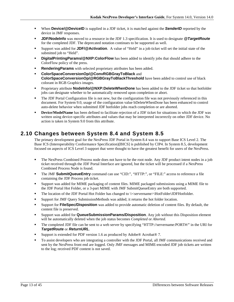- **When Device/@DeviceID** is supplied in a JDF ticket, it is matched against the **SenderID** reported by the device in JMF responses.
- **JDF/Nodelnfo** was moved to a resource in the JDF 1.3 specification. It is used to designate *@TargetRoute* for the completed JDF. The deprecated notation continues to be supported as well.
- Support was added for **JDF/@Activation**. A value of "Held" in a job ticket will set the initial state of the submitted job to "Held".
- **DigitalPrintingParams/@NXP:ColorFlow** has been added to identify jobs that should adhere to the ColorFlow policy of the press.
- **RenderingParams** with selected proprietary attributes has been added.
- **ColorSpaceConversionOp/@ConvRGBGrayToBlack** and **ColorSpaceConversionOp/@RGBGrayToBlackThreshold** have been added to control use of black colorant in RGB Graphics images.
- **Proprietary attribute NodeInfo/@NXP:DeleteWhenDone** has been added to the JDF ticket so that hotfolder jobs can designate whether to be automatically removed upon completion or abort.
- The JDF Portal Configuration file is not new, but the configuration file was not previously referenced in this document. For System 9.0, usage of the configuration value bDeleteWhenDone has been enhanced to control auto-delete behavior when submitted JDF hotfolder jobs reach completion or are aborted.
- **Device/ModelName** has been defined to facilitate rejection of a JDF ticket for situations in which the JDF was written using device-specific attributes and values that may be interpreted incorrectly on other JDF device. No action is taken in System 9.0 from this attribute.

# <span id="page-12-0"></span>**2.10 Changes between System 8.4 and System 8.5**

The primary development goal for the NexPress JDF Portal in System 8.4 was to support Base ICS Level 2. The Base ICS (Interoperability Conformance Specification)[BICS] is published by CIP4. In System 8.5, development focused on aspects of ICS Level 3 support that were thought to have the greatest benefit for users of the NexPress.

- The NexPress Combined Process node does not have to be the root node. Any JDF product intent nodes in a job ticket received through the JDF Portal Interface are ignored, but the ticket will be processed if a NexPress Combined Process Node is found.
- The JMF **SubmitQueueEntry** command can use "CID:", "HTTP:", or "FILE:" access to reference a file containing the JDF Process job ticket.
- Support was added for MIME packaging of content files. MIME packaged submissions using a MIME file to the JDF Portal Hot Folder, or a 3-part MIME with JMF SubmitQueueEntry are both supported.
- The location of the JDF Portal Hot Folder has changed to  $\&$ servername $\&$ HotFolder $\&$ DFHotfolder.
- Support for JMF Query SubmissionMethods was added; it returns the hot folder location.
- Support for **FileSpec/Disposition** was added to provide automatic deletion of content files. By default, the content file is preserved.
- Support was added for **QueueSubmissionParams/Disposition**. Any job without this Disposition element will be automatically deleted when the job status becomes *Completed* or *Aborted.*
- The completed JDF file can be sent to a web server by specifying "HTTP://servername:PORT#/" in the URI for *TargetRoute* or *ReturnURL*.
- Support is extended for PDF version 1.6 as produced by Adobe® Acrobat® 7.
- To assist developers who are integrating a controller with the JDF Portal, all JMF communications received and sent by the NexPress front end are logged. Only JMF messages and MIME-encoded JDF job tickets are written to the log; received PDF content is not saved.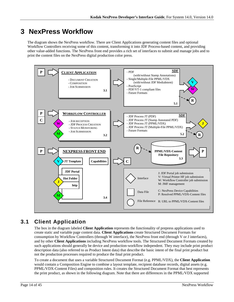# <span id="page-13-0"></span>**3 NexPress Workflow**

The diagram shows the NexPress workflow. There are Client Applications generating content files and optional Workflow Controllers receiving some of this content, transforming it into JDF Process-based content, and providing other value-added functions. The NexPress front end provides a rich set of interfaces to submit and manage jobs and to print the content files on the NexPress digital production color press.



# <span id="page-13-1"></span>**3.1 Client Application**

The box in the diagram labeled **Client Application** represents the functionality of prepress applications used to create static and variable page content data. **Client Applications** create Structured Document Formats for consumption by Workflow Controllers (through W interface), the NexPress front end (through V or J interfaces), and by other **Client Applications** including NexPress workflow tools. The Structured Document Formats created by such applications should generally be device and production-workflow independent. They may include print product description data (also referred to as Product Intent data) that describe the basic intent of the final print product but not the production processes required to produce the final print product.

To create a document that uses a variable Structured Document Format (e.g. PPML/VDX), the **Client Application** would contain a Composition Engine to combine a layout template, recipient database records, digital assets (e.g. PPML/VDX-Content Files) and composition rules. It creates the Structured Document Format that best represents the print product, as shown in the following diagram. Note that there are differences in the PPML/VDX supported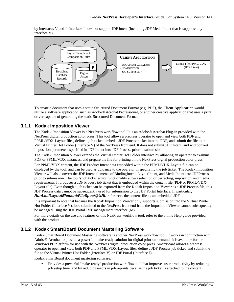by interfaces V and J. Interface J does not support JDF intent (including JDF MediaIntent that is supported by interface V).



To create a document that uses a static Structured Document Format (e.g. PDF), the **Client Application** would utilize a software application such as Adobe® Acrobat Professional, or another creative application that uses a print driver capable of generating the static Structured Document Format.

### <span id="page-14-0"></span>**3.1.1 Kodak Imposition Viewer**

The Kodak Imposition Viewer is a NexPress workflow tool. It is an Adobe® Acrobat Plug-in provided with the NexPress digital production color press. This tool allows a prepress operator to open and view both PDF and PPML/VDX-Layout files, define a job ticket, embed a JDF Process ticket into the PDF, and submit the file to the Virtual Printer Hot Folder (Interface V) of the NexPress front end. It does not submit JDF Intent, and will convert imposition parameters specified in JDF Intent into JDF Process prior to submission.

The Kodak Imposition Viewer extends the Virtual Printer Hot Folder interface by allowing an operator to examine PDF or PPML/VDX instances, and prepare the file for printing on the NexPress digital production color press.

For PPML/VDX content, the JDF Product Intent data embedded within the PPML/VDX-Layout file can be displayed by the tool, and can be used as guidance to the operator in specifying the job ticket. The Kodak Imposition Viewer will also convert the JDF Intent elements of BindingIntent, LayoutIntent, and MediaIntent into JDFProcess prior to submission. The tool's job ticket editor functionality allows selection of perfecting, imposition, and media requirements. It produces a JDF Process job ticket that is embedded within the content file (PDF or PPML/VDX-Layout file). Even though a job ticket can be exported from the Kodak Imposition Viewer as a JDF Process file, this JDF Process data cannot be subsequently used for submission to the JDF Portal Interface. In particular, *RunList/LayoutElement/FileSpec/@URL* references the content file as an embedded JDF.

It is important to note that because the Kodak Imposition Viewer only supports submission into the Virtual Printer Hot Folder (Interface V), jobs submitted to the NexPress front end from the Imposition Viewer cannot subsequently be managed using the JDF Portal JMF management interface (M).

For more details on the use and features of this NexPress workflow tool, refer to the online Help guide provided with the product.

### <span id="page-14-1"></span>**3.1.2 Kodak SmartBoard Document Mastering Software**

Kodak SmartBoard Document Mastering software is another NexPress workflow tool. It works in conjunction with Adobe® Acrobat to provide a powerful make-ready solution for digital print-on-demand. It is available for the Windows PC platform for use with the NexPress digital production color press. SmartBoard allows a prepress operator to open and view both PDF and PPML/VDX-Layout files, define a JDF Process job ticket, and submit the file to the Virtual Printer Hot Folder (Interface V) or JDF Portal (Interface J).

Kodak SmartBoard document mastering software:

 Provides a powerful "make-ready" production workflow tool that improves user productivity by reducing job setup time, and by reducing errors in job reprints because the job ticket is attached to the content.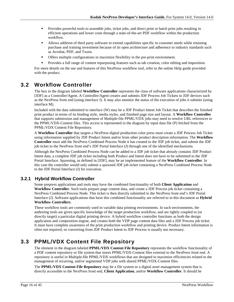- **Provides powerful tools to assemble jobs, ticket jobs, and direct print or batch print jobs resulting in** efficient operations and lower costs through a state-of-the-art PDF workflow within the production workflow.
- Allows addition of third party software to extend capabilities specific to customer needs while retaining purchase and training investment because of its open architecture and adherence to industry standards such as Acrobat, PDF, and Twain.
- Offers multiple configurations to maximize flexibility in the pre-print environment.
- Provides a full range of content repurposing features such as tab creation, color editing and imposition.

For more details on the use and features of this NexPress workflow tool, refer to the online Help guide provided with the product.

# <span id="page-15-0"></span>**3.2 Workflow Controller**

The box in the diagram labeled **Workflow Controller** represents the class of software applications characterized by [JDF] as a Controller/Agent. A Controller/Agent creates and submits JDF Process Job Tickets to JDF devices such as the NexPress front end (using interface J). It may also monitor the status of the execution of jobs it submits (using interface M).

Included with the data submitted to interface (W) may be a JDF Product Intent Job Ticket that describes the finished print product in terms of its binding style, media styles, and finished page size and layout. A **Workflow Controller** that supports submission and management of Multiple-file PPML/VDX jobs may need to resolve URL references to the PPML/VDX-Content files. This access is represented in the diagram by input data file (P) fetched from the PPML/VDX Content File Repository.

A **Workflow Controller** that targets a NexPress digital production color press must create a JDF Process Job Ticket using information supplied by JDF Product Intent and/or from other product description information. The **Workflow Controller** must add the NexPress Combined Process Node it has created to the JDF job ticket, and submit the JDF job ticket to the NexPress front end's JDF Portal Interface (J) through one of the identified mechanisms.

Although the NexPress Combined Process Node can be added to a JDF job ticket that already contains JDF Product Intent data, a complete JDF job ticket including both Product and Intent does not have to be submitted to the JDF Portal Interface. Spawning, as defined in [JDF], may be an implemented feature of the **Workflow Controller**. In this case the controller would only submit a spawned JDF job ticket containing a NexPress Combined Process Node to the JDF Portal Interface (J) for execution.

### <span id="page-15-1"></span>**3.2.1 Hybrid Workflow Controller**

Some prepress applications and tools may have the combined functionality of both **Client Application** and **Workflow Controller**. Such tools prepare page content data, and create a JDF Process job ticket containing a NexPress Combined Process Node. This ticket is then directly submitted to the NexPress front end's JDF Portal Interface (J). Software applications that have this combined functionality are referred to in this document as **Hybrid Workflow Controllers**.

These workflow tools are commonly used in variable data printing environments. In such environments, the authoring tools are given specific knowledge of the target production workflow, and are tightly coupled to (or directly target) a particular digital printing device. A hybrid workflow controller functions as both the design application and composition engine, and creates both the VDP page content data files and a JDF Process job ticket. It must have complete awareness of the print production workflow and printing device. Product Intent information is often not required, so converting from JDF Product Intent to JDF Process is usually not necessary.

# <span id="page-15-2"></span>**3.3 PPML/VDX Content File Repository**

The element in the diagram labeled **PPML/VDX Content File Repository** represents the workflow functionality of a PDF content repository or file system that stores PPML/VDX-Content files external to the NexPress front end. A repository is useful in Multiple-file PPML/VDX workflows that are designed to maximize efficiencies related to the management of recurring, and/or segmented VDP jobs with shared PPML/VDX-Content files.

The **PPML/VDX Content File Repository** may be a file system or a digital asset management system that is directly accessible to the NexPress front end, **Client Application**, and/or **Workflow Controller**. It should be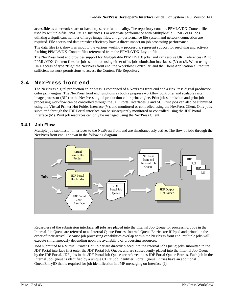accessible as a network share or have http server functionality. The repository contains PPML/VDX-Content files used by Multiple-file PPML/VDX Instances. For adequate performance with Multiple-file PPML/VDX jobs utilizing a significant number of large image files, a high-performance file system and network connection are required. File access and data transfer efficiency have a direct impact on job processing performance.

The data files (P), shown as input to the various workflow processors, represent support for resolving and actively fetching PPML/VDX-Content files referenced from the PPML/VDX-Layout file.

The NexPress front end provides support for Multiple-file PPML/VDX jobs, and can resolve URL references (R) to PPML/VDX-Content files for jobs submitted using either of its job submission interfaces, (V) or (J). When using URL access of type "file," the NexPress front end, the Workflow Controller, and the Client Application all require sufficient network permissions to access the Content File Repository.

# <span id="page-16-0"></span>**3.4 NexPress front end**

The NexPress digital production color press is comprised of a NexPress front end and a NexPress digital production color print engine. The NexPress front end functions as both a prepress workflow controller and scalable raster image processor (RIP) to the NexPress digital production color print engine. Print job submission and print job processing workflow can be controlled through the JDF Portal Interfaces (J and M). Print jobs can also be submitted using the Virtual Printer Hot Folder Interface (V), and monitored or controlled using the NexPress Client. Only jobs submitted through the JDF Portal interface can be subsequently monitored or controlled using the JDF Portal Interface (M). Print job resources can only be managed using the NexPress Client.

### <span id="page-16-1"></span>**3.4.1 Job Flow**

Multiple job submission interfaces to the NexPress front end are simultaneously active. The flow of jobs through the NexPress front end is shown in the following diagram.



Regardless of the submission interface, all jobs are placed into the Internal Job Queue for processing. Jobs in the Internal Job Queue are referred to as Internal Queue Entries. Internal Queue Entries are RIPped and printed in the order of their arrival. Because job processing capabilities overlap within the NexPress front end, multiple jobs will execute simultaneously depending upon the availability of processing resources.

Jobs submitted to a Virtual Printer Hot Folder are directly placed into the Internal Job Queue; jobs submitted to the JDF Portal interface first enter the JDF Portal Job Queue, and are subsequently placed into the Internal Job Queue by the JDF Portal. JDF jobs in the JDF Portal Job Queue are referred to as JDF Portal Queue Entries. Each job in the Internal Job Queue is identified by a unique CDFE Job Identifier. Portal Queue Entries have an additional QueueEntryID that is required for job identification in JMF messaging on Interface (J).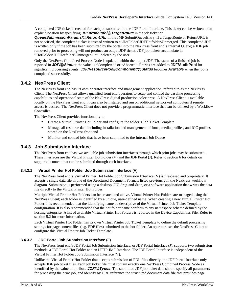A completed JDF ticket is created for each job submitted to the JDF Portal Interface. This ticket can be written to an explicit location by specifying *JDF/NodeInfo/@TargetRoute* in the job ticket or

*QueueSubmissionParams/@ReturnURL* in the JMF SubmitQueueEntry. If a TargetRoute or ReturnURL is not specified, the completed ticket is instead written to c:\HotFolder\JDFHotfolder\Unmerged. This completed JDF is written only if the job has been submitted by the portal into the NexPress front end's Internal Queue; a JDF job removed prior to processing will not produce an output JDF ticket. JDF job tickets accumulate in \\HotFolder\JDFHotfolder\Unmerged until deleted by the user.

Only the NexPress Combined Process Node is updated within the output JDF. The status of a finished job is reported in *JDF/@Status*; the value is "Completed" or "Aborted". Entries are added to **JDF/AuditPool** for significant processing events. *JDF/ResourcePool/Component/@Status* becomes *Available* when the job is completed successfully.

### <span id="page-17-0"></span>**3.4.2 NexPress Client**

The NexPress front end has its own operator interface and management application, referred to as the NexPress Client. The NexPress Client allows qualified front end operators to setup and control the baseline processing capabilities and operational state of the NexPress digital production color press. A NexPress Client is available locally on the NexPress front end; it can also be installed and run on additional networked computers if remote access is desired. The NexPress Client does not provide a programmatic interface that can be utilized by a Workflow Controller.

The NexPress Client provides functionality to

- Create a Virtual Printer Hot Folder and configure the folder's Job Ticket Template
- Manage all resource data including installation and management of fonts, media profiles, and ICC profiles stored on the NexPress front end
- **Monition and control jobs that have been submitted to the Internal Job Queue**

### <span id="page-17-1"></span>**3.4.3 Job Submission Interface**

The NexPress front end has two available job submission interfaces through which print jobs may be submitted. These interfaces are the Virtual Printer Hot Folder (V) and the JDF Portal (J). Refer to section [6](#page-29-0) for details on supported content that can be submitted through each interface.

### <span id="page-17-2"></span>**3.4.3.1 Virtual Printer Hot Folder Job Submission Interface (V)**

The NexPress front end's Virtual Printer Hot Folder Job Submission Interface (V) is file-based and proprietary. It accepts a single data file in one of the Structured Document Formats listed previously in the NexPress workflow diagram. Submission is performed using a desktop GUI drag-and-drop, or a software application that writes the data file directly to the Virtual Printer Hot Folder.

Multiple Virtual Printer Hot Folders can be created and active. Virtual Printer Hot Folders are managed using the NexPress Client; each folder is identified by a unique, user-defined name. When creating a new Virtual Printer Hot Folder, it is recommended that the identifying name be descriptive of the Virtual Printer Job Ticket Template configuration. It is also recommended that the hot folder name conform to any namespace scheme defined by the hosting enterprise. A list of available Virtual Printer Hot Folders is reported in the Device Capabilities File. Refer to section [5.2](#page-24-2) for more information.

Each Virtual Printer Hot Folder has its own Virtual Printer Job Ticket Template to define the default processing settings for page content files (e.g. PDF files) submitted to the hot folder. An operator uses the NexPress Client to configure this Virtual Printer Job Ticket Template.

### <span id="page-17-3"></span>**3.4.3.2 JDF Portal Job Submission Interface (J)**

The NexPress front end's JDF Portal Job Submission Interface, or JDF Portal Interface (J), supports two submission methods: a JDF Portal Hot Folder and an HTTP JMF Interface. The JDF Portal Interface is independent of the Virtual Printer Hot Folder Job Submission Interface (V).

Unlike the Virtual Printer Hot Folder that accepts submission of PDL files directly, the JDF Portal Interface only accepts JDF job ticket files. Each job ticket file must contain exactly one NexPress Combined Process Node as identified by the value of attribute *JDF/@Types*. The submitted JDF job ticket data should specify all parameters for processing the print job, and identify by URL reference the structured document data file that provides page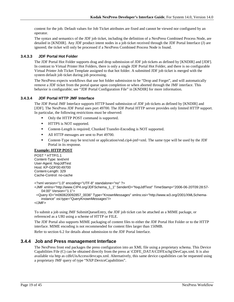content for the job. Default values for Job Ticket attributes are fixed and cannot be viewed nor configured by an operator.

The syntax and semantics of the JDF job ticket, including the definition of a NexPress Combined Process Node, are detailed in [KNDIR]. Any JDF product intent nodes in a job ticket received through the JDF Portal Interface (J) are ignored; the ticket will only be processed if a NexPress Combined Process Node is found.

#### <span id="page-18-0"></span>**3.4.3.3 JDF Portal Hot Folder**

The JDF Portal Hot Folder supports drag and drop submission of JDF job tickets as defined by [KNDIR] and [JDF]. In contrast to Virtual Printer Hot Folders, there is only a single JDF Portal Hot Folder, and there is no configurable Virtual Printer Job Ticket Template assigned to that hot folder. A submitted JDF job ticket is merged with the system default job ticket during job processing.

The NexPress expects workflows that use hot folder submission to be "Drop and Forget", and will automatically remove a JDF ticket from the portal queue upon completion or when aborted through the JMF interface. This behavior is configurable; see "JDF Portal Configuration File" in [KNDIR] for more information.

#### <span id="page-18-1"></span>**3.4.3.4 JDF Portal HTTP JMF Interface**

The JDF Portal JMF Interface supports HTTP based submission of JDF job tickets as defined by [KNDIR] and [JDF]. The NexPress JDF Portal uses port 49700. The JDF Portal HTTP server provides only limited HTTP support. In particular, the following restrictions must be observed:

- Only the HTTP POST command is supported.
- **IFFLUE IS NOT supported.**
- Content-Length is required; Chunked Transfer-Encoding is NOT supported.
- All HTTP messages are sent to Port 49700.
- Content-Type may be text/xml or application/vnd.cip4-jmf+xml. The same type will be used by the JDF Portal in its response.

#### **Example: HTTP POST**

POST \* HTTP/1.1 Content-Type: text/xml User-Agent: NxpJdfTest Host: KP-GDF00:49700 Content-Length: 329 Cache-Control: no-cache

```
<?xml version="1.0" encoding="UTF-8" standalone="no" ?>
```
<JMF xmlns="http://www.CIP4.org/JDFSchema\_1\_1" SenderID="NxpJdfTest" TimeStamp="2006-06-20T09:28:57- 04:00" Version="1.1">

 <Query ID="m060620092857\_0036" Type="KnownMessages" xmlns:xsi="http://www.w3.org/2001/XMLSchemainstance" xsi:type="QueryKnownMessages"/>

</JMF>

To submit a job using JMF SubmitQueueEntry, the JDF job ticket can be attached as a MIME package, or referenced as a URI using a scheme of HTTP or FILE.

The JDF Portal also supports MIME packaging of content files to either the JDF Portal Hot Folder or to the HTTP interface. MIME encoding is not recommended for content files larger than 150MB.

Refer to section [6.2](#page-32-0) for details about submission to the JDF Portal Interface.

### <span id="page-18-2"></span>**3.4.4 Job and Press management Interface**

The NexPress front end packages the press configuration into an XML file using a proprietary schema. This Device Capabilities File (C) can be obtained directly from the press at \CDFE\_DATA\CDFExchg\DevCaps.xml. It is also available via http as cdfeUisAccess/devcaps.xml. Alternatively, this same device capabilities can be requested using a proprietary JMF query of type "NXP:DeviceCapabilities".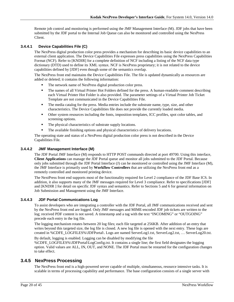Remote job control and monitoring is performed using the JMF Management Interface (M). JDF jobs that have been submitted by the JDF portal to the Internal Job Queue can also be monitored and controlled using the NexPress Client.

#### <span id="page-19-0"></span>**3.4.4.1 Device Capabilities File (C)**

The NexPress digital production color press provides a mechanism for describing its basic device capabilities to an external client application. The Device Capabilities File expresses press capabilities using the NexPress Capabilities Format (NCF). Refer to [KNDIR] for a complete definition of NCF including a listing of the NCF data type dictionary (DTD) used to define its XML syntax. NCF is NexPress proprietary; it is not related to the device capabilities defined by [JDF] even though some of the semantics overlap.

The NexPress front end maintains the Device Capabilities File. The file is updated dynamically as resources are added or deleted; it contains the following information:

- The network name of NexPress digital production color press.
- The names of all Virtual Printer Hot Folders defined for the press. A human-readable comment describing each Virtual Printer Hot Folder is also provided. The parameter settings of a Virtual Printer Job Ticket Template are not communicated in the Device Capabilities File.
- The media catalog for the press. Media entries include the substrate name, type, size, and other characteristics. The Device Capabilities file does not provide the currently loaded media.
- Other system resources including the fonts, imposition templates, ICC profiles, spot color tables, and screening options.
- The physical characteristics of substrate supply locations.
- The available finishing options and physical characteristics of delivery locations.

The operating state and status of a NexPress digital production color press is not described in the Device Capabilities File.

#### <span id="page-19-1"></span>**3.4.4.2 JMF Management Interface (M)**

The JDF Portal JMF Interface (M) responds to HTTP POST commands directed at port 49700. Using this interface, **Client Applications** can manage the JDF Portal queue and monitor all jobs submitted to the JDF Portal. Because only jobs submitted through the JDF Portal Interface (J) can be monitored or controlled using the JMF Interface (M), the JMF Interface is primarily used by **Workflow Controllers** that are utilizing the NexPress front end as a remotely controlled and monitored printing device.

The NextPress front end supports most of the functionality required for Level 2 compliance of the JDF Base ICS. In addition, it also supports many of the JMF messages required for Level 3 compliance. Refer to specifications [JDF] and [KNDIR ] for detail on specific JDF syntax and semantics. Refer to Sections [5](#page-24-0) and [6](#page-29-0) for general information on Job Submission and Management using the JMF Interface.

#### <span id="page-19-2"></span>**3.4.4.3 JDF Portal Communications Log**

To assist developers who are integrating a controller with the JDF Portal, all JMF communications received and sent by the NexPress front end are logged. Only JMF messages and MIME-encoded JDF job tickets are written to the log; received PDF content is not saved. A timestamp and a tag with the text "INCOMING" or "OUTGOING" precede each entry in the log file.

The logging mechanism rotates between 20 log files; each file targeted at 256KB. After addition of an entry that writes beyond this targeted size, the log file is closed. A new log file is opened with the next entry. These logs are created in %CDFE\_LOGFILES%\JDFPortal\. Logs are named ServerLog1.txt, ServerLog2.txt, … ServerLog20.txt.

By default, logging is enabled. Logging can be disabled by modifying the file %CDFE\_LOGFILES%\JDFPortal\LogConfig.txt. It contains a single line; the first field designates the logging option. Valid values are ALL, IN, OUT, and NONE. The JDF Portal must be restarted for the configuration changes to take effect.

### <span id="page-19-3"></span>**3.4.5 NexPress Processing**

The NexPress front end is a high-powered server capable of multiple, simultaneous, resource intensive tasks. It is scalable in terms of processing capability and performance. The base configuration consists of a single server with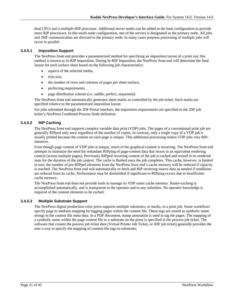dual CPUs and a multiple-RIP processor. Additional server nodes can be added to the base configuration to provide more RIP processors. In this multi-node configuration, one of the servers is designated as the primary node. All jobs and JMF communication are directed to the primary node. In many cases prepress processing of multiple jobs will occur in parallel.

#### <span id="page-20-0"></span>**3.4.5.1 Imposition Support**

The NexPress front end provides a parameterized method for specifying an imposition layout of a print run; this method is known as In-RIP Imposition. During In-RIP Imposition, the NexPress front end will determine the final layout for each surface sheet based on the following job characteristics:

- aspects of the selected media,
- trim size,
- the number of rows and columns of pages per sheet surface,
- perfecting requirements,
- page distribution scheme (i.e. saddle, perfect, sequential).

The NexPress front end automatically generates sheet marks as controlled by the job ticket. Such marks are specified relative to the parameterized imposition layout.

For jobs submitted through the JDF Portal interface, the imposition requirements are specified in the JDF job ticket's NexPress Combined Process Node definition.

### <span id="page-20-1"></span>**3.4.5.2 RIP Caching**

The NexPress front end supports complex variable data print (VDP) jobs. The pages of a conventional print job are generally RIPped only once regardless of the number of copies. In contrast, only a single copy of a VDP job is usually printed because the content on each page is unique. This additional processing makes VDP jobs very RIPintensive.

Even though page content of VDP jobs is unique, much of the graphical content is recurring. The NexPress front end attempts to minimize the need for redundant RIPping of page-content data that recurs in an equivalent rendering context (across multiple pages). Previously RIPped recurring content of the job is cached and reused in its rendered state for the duration of the job context. The cache is flushed once the job completes. This cache, however, is limited in size; the number of pre-RIPped elements from the NexPress front end's cache memory will be reduced if capacity is reached. The NexPress front end will automatically re-fetch and RIP recurring source data as needed if renditions are reduced from its cache. Performance may be diminished if significant re-RIPping occurs due to insufficient cache memory.

The NexPress front end does not provide tools to manage its VDP raster cache memory. Raster-caching is accomplished automatically, and is transparent to the operator and to any submitter. No operator knowledge is required of the content elements to be cached.

### <span id="page-20-2"></span>**3.4.5.3 Multiple Substrate Support**

The NexPress digital production color press supports multiple substrates, or media, in a print job. Some workflows specify page to medium mapping by tagging pages within the content file. These tags are stored as symbolic name strings in the content file meta-data. In a PDF document, stamp annotation is used to tag the pages. The mapping of a symbolic name within the page content file to a substrate on the press is specified in the process job ticket. The software that creates the process job ticket data (Virtual Printer Job Ticket, or JDF job ticket) generally provides the user a way to specify the mapping of content-file tags to substrates.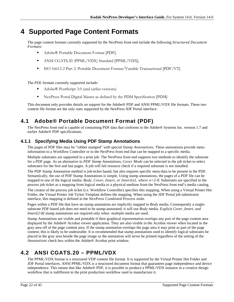# <span id="page-21-0"></span>**4 Supported Page Content Formats**

The page content formats currently supported by the NexPress front end include the following *Structured Document Formats:*

- Adobe® Portable Document Format [PDF].
- ANSI CGATS.20 (PPML/VDX) Standard [PPML/VDX].
- ISO 16612-2 Part 2: Portable Document Format/Variable Transactional [PDF/VT]

The *PDL* formats currently supported include:

- Adobe® PostScript 3.0 (and earlier versions)
- NexPress Portal Digital Master as defined by the PDM Specification [PDM]

This document only provides details on support for the Adobe® PDF and ANSI PPML/VDX file formats. These two content file format are the only ones supported by the NexPress JDF Portal interface.

# <span id="page-21-1"></span>**4.1 Adobe® Portable Document Format (PDF)**

The NexPress front end is capable of consuming PDF data that conforms to the Adobe® Systems Inc. version 1.7 and earlier Adobe® PDF specifications.

## <span id="page-21-2"></span>**4.1.1 Specifying Media Using PDF Stamp Annotations**

The pages of PDF files may be "rubber stamped" with special *Stamp Annotations*. These annotations provide metainformation to a Workflow Controller or to the NexPress front end that can be mapped to a specific media.

Multiple substrates are supported in a print job. The NexPress front end supports two methods to identify the substrate for a PDF page. As an alternative to *PDF Stamp Annotations*, *Cover Mode* can be selected in the job ticket to select substrates for the first and last pages*.* A job will fail resource check if a required substrate is not installed.

The PDF Stamp Annotation method is job-ticket based, but also requires specific meta-data to be present in the PDF. Semantically, the use of PDF Stamp Annotations is simple. Using stamp annotations, the pages of a PDF file can be mapped to one of the logical media: *Body*, *Cover*, *Insert, or Insert[n], where n=2-8*. Substrates are specified in the process job ticket as a mapping from logical media to a physical medium from the NexPress front end's media catalog.

The creator of the process job ticket (i.e. Workflow Controller) specifies this mapping. When using a Virtual Printer Hot Folder, the Virtual Printer Job Ticket Template defines the mapping. When using the JDF Portal job submission interface, this mapping is defined in the NexPress Combined Process node.

Pages within a PDF file that have no stamp annotation are implicitly mapped to *Body* media. Consequently a singlesubstrate PDF-based job does not need to be stamp-annotated; it will use *Body* media. Explicit *Cover* ,*Insert, and Insert*[2-8] stamp annotations are required only when multiple media are used.

Stamp Annotations are visible and printable if their graphical representation overlaps any part of the page content area displayed by the Adobe® Acrobat viewer application. They are also visible in the Acrobat viewer when located in the gray area off of the page content area. If the stamp annotation overlaps the page area it may print as part of the page content; this is likely to be undesirable. It is recommended that stamp annotations used to identify logical substrates be placed in the gray area beside the page image so the annotation will never be printed regardless of the setting of the *Annotations* check box within the Adobe® Acrobat print window.

# <span id="page-21-3"></span>**4.2 ANSI CGATS.20 – PPML/VDX**

The PPML/VDX format is a structured VDP content file format. It is supported by the Virtual Printer Hot Folder and JDF Portal interfaces. ANSI PPML/VDX is a structured document format that guarantees page independence and device independence. This means that like Adobe® PDF, it is possible to produce a PPML/VDX instance in a creative design workflow that is indifferent to the print production workflow used to manufacture it.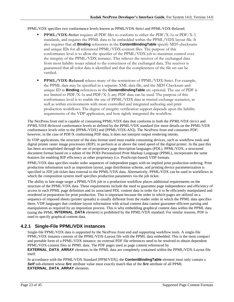### PPML/VDX specifies two conformance levels known as PPML/VDX-Strict and PPML/VDX-Relaxed.

- **PPML/VDX-Strict** requires all PDF files to conform to either the PDF/X-1a or PDF/X-3 standards, and requires the PPML data to be embedded within the PPML/VDX layout file. It also requires that all **Binding** references in the **ContentBindingTable** specify MD5 checksums and unique IDs for all referenced PPML/VDX-content files. The purpose of this conformance level is to allow the specifier of the PPML/VDX job to maximize control over the integrity of the PPML/VDX instance. This relieves the receiver of the exchanged data from most liability issues related to the correctness of the exchanged data. The receiver is guaranteed that all color data is identified and that the completeness of the file set can be verified.
- **PPML/VDX-Relaxed** relaxes many of the restrictions of PPML/VDX-Strict. For example, the PPML data may be specified in a separate XML data file, and the MD5 Checksum and unique ID in **Binding** references in the **ContentBindingTable** are optional. The use of PDF is not limited to PDF/X-1a and PDF/X-3; any PDF data can be used. The purpose of this conformance level is to enable the use of PPML/VDX data in trusted exchange scenarios, as well as within environments with more controlled and integrated authoring and print production workflows. The degree of integrity verification support depends upon the liability requirements of the VDP application, and how tightly integrated the workflow.

The NexPress front end is capable of consuming PPML/VDX data that conforms to both the *PPML/VDX-Strict* and *PPML/VDX-Relaxed* conformance levels as defined by the PPML/VDX standard (for more details on the PPML/VDX conformance levels refer to the [PPML/VDX] and [PPML/VDX-AN]). The NexPress front end consumes PDF; however, in the case of PDF/X conforming PDF data, it does not interpret output rendering intents.

In VDP applications, the structure of the data format used must enable consuming devices, such as workflow tools and digital printer raster image processors (RIP*)*, to perform at or above the rated speed of the digital printer. In the past this has been accomplished through the use of proprietary page description languages (PDL). PPML/VDX, a structured document format based on a subset of the PODi Personalized Print Markup Language (PPML), incorporates the same features for enabling RIP efficiency as other proprietary (i.e. PostScript-based) VDP formats.

PPML/VDX data specifies reader order sequences of independent pages with no implied print production ordering. Print production information such as imposition layout, page distribution scheme, and printing device parameterization is specified in JDF job ticket data external to the PPML/VDX data. Alternatively, PPML/VDX can be used in workflows in which the composition system itself specifies production parameters via the job ticket.

The ability to late-stage target a PPML/VDX job in a production workflow places additional requirements on the structure of the PPML/VDX data. These requirements include the need to guarantee page independence and efficiency of access to each PPML page definition and its associated PDL content data in order for it to be efficiently manipulated and reordered in preparation for print production. This is important because the order in which pages are utilized on a sequence of imposed sheets (printer spreads) is usually different from the reader order in which the PPML data specifies them. VDP languages that combine layout information with actual content data cannot guarantee efficient parsing and manipulation as required by an imposition process. This is why embedding graphical content data within the PPML data (using the PPML **INTERNAL\_DATA** element) is prohibited by the PPML/VDX standard. For similar reasons, PDF is used to specify graphical content data.

## <span id="page-22-0"></span>**4.2.1 Single-File PPML/VDX instances**

Single-file PPML/VDX data is supported by the NexPress front end and supporting workflow tools. A single-file PPML/VDX instance consists of the PPML/VDX-Layout file with the PPML data embedded. This is the most compact and portable form of a PPML/VDX instance; no external PDF file references need to be resolved to obtain dependent PPML/VDX-content files or PPML data. The PDF pages used as page content referenced by

**EXTERNAL\_DATA\_ARRAY** elements in the PPML data are completely contained within the PPML/VDX-Layout file itself.

In accordance with the PPML/VDX Standard [PPM/VDX], the **ContentBindingTable** element must only contain a *Self* sub-element whose *Src* attribute value must exactly match that of the *Src* attribute of all PPML **EXTERNAL\_DATA\_ARRAY** elements.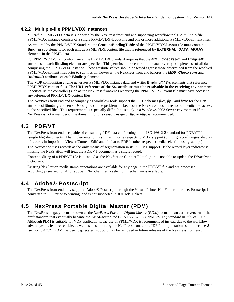### <span id="page-23-0"></span>**4.2.2 Multiple-file PPML/VDX instances**

Multi-file PPML/VDX data is supported by the NexPress front end and supporting workflow tools. A multiple-file PPML/VDX instance consists of a single PPML/VDX-layout file and one or more additional PPML/VDX-content files.

As required by the PPML/VDX Standard, the **ContentBindingTable** of the PPML/VDX-Layout file must contain a **Binding** sub-element for each unique PPML/VDX content file that is referenced by **EXTERNAL\_DATA\_ARRAY** elements in the PPML data.

For PPML/VDX-Strict conformance, the PPML/VDX Standard requires that the *MD5\_Checksum* and *UniqueID* attributes of each **Binding** element are specified. This permits the receiver of the data to verify completeness of all data comprising the PPML/VDX instance. These attribute values should be tested against those determined from the resolved PPML/VDX-content files prior to submission; however, the NexPress front end ignores the *MD5\_Checksum* and *UniqueID* attributes of each **Binding** element.

The VDP composition engine generates PPML/VDX instance data and writes **Binding/@***Src* elements that reference PPML/VDX-content files. **The URL reference of the** *Src* **attribute must be resolvable in the receiving environment.** Specifically, the controller (such as the NexPress front-end) receiving the PPML/VDX-Layout file must have access to any referenced PPML/VDX-content files.

The NexPress front end and accompanying workflow tools support the URL schemes *file:, ftp:,* and *http:* for the *Src* attribute of **Binding** elements. Use of *file*: can be problematic because the NexPress must have non-authenticated access to the specified files. This requirement is especially difficult to satisfy in a Windows 2003 Server environment if the NexPress is not a member of the domain. For this reason, usage of *ftp*: or *http*: is recommended.

# <span id="page-23-1"></span>**4.3 PDF/VT**

The NexPress front end is capable of consuming PDF data conforming to the ISO 16612-2 standard for PDF/VT-1 (single file) documents. The implementation is similar in some respects to VDX support (printing record ranges, display of records in Imposition Viewer/Content Edit) and similar to PDF in other respects (media selection using stamps).

The NexStation uses records as the only means of segmentation in its PDF/VT support. If the record layer indicator is missing the NexStation will treat the PDF/VT document as a single record.

Content editing of a PDF/VT file is disabled as the NexStation Content Edit plug-in is not able to update the *DPartRoot*  dictionary.

Existing NexStation media stamp annotations are available for any page in the PDF/VT file and are processed accordingly (see section 4.1.1 above). No other media selection mechanism is available.

# <span id="page-23-2"></span>**4.4 Adobe® Postscript**

The NexPress front end only supports Adobe® Postscript through the Virtual Printer Hot Folder interface. Postscript is converted to PDF prior to printing, and is not supported in JDF Job Tickets.

# <span id="page-23-3"></span>**4.5 NexPress Portable Digital Master (PDM)**

The NexPress legacy format known as the *NexPress Portable Digital Master* (*PDM*) format is an earlier version of the draft standard that eventually became the ANSI-accredited CGATS.20-2002 (PPML/VDX) standard in July of 2002. Although PDM is suitable for VDP applications, the use of PPML/VDX is recommended instead due to the workflow advantages its features enable, as well as its support by the NexPress front end's JDF Portal job submission interface **J** (section [3.4.3.2\)](#page-17-3). PDM has been deprecated; support may be removed in future releases of the NexPress front end.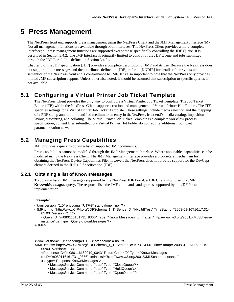# <span id="page-24-0"></span>**5 Press Management**

The NexPress front end supports press management using the NexPress Client and the JMF Management Interface (M). Not all management functions are available through both interfaces. The NexPress Client provides a more complete interface; all press management functions are supported except those specifically controlling the JDF Queue. It is described in Sectio[n 3.4.2.](#page-17-0) The JMF Interface is primarily limited to control of the JDF Queue and jobs submitted through the JDF Portal. It is defined in Section [3.4.3.4.](#page-18-1)

Chapter 5 of the JDF specification [JDF] provides a complete description of JMF and its use. Because the NexPress does not support all the messages and their attributes defined in [JDF], refer to [KNDIR] for details of the syntax and semantics of the NexPress front end's conformance to JMF. It is also important to note that the NexPress only provides limited JMF subscription support. Unless otherwise noted, it should be assumed that subscription to specific queries is not available.

# <span id="page-24-1"></span>**5.1 Configuring a Virtual Printer Job Ticket Template**

The NexPress Client provides the only way to configure a Virtual Printer Job Ticket Template. The Job Ticket Editor (JTE) within the NexPress Client supports creation and management of Virtual Printer Hot Folders. The JTE specifies settings for a Virtual Printer Job Ticket Template. These settings include media selection and the mapping of a PDF stamp annotation-identified medium to an entry in theNexPress front end's media catalog, imposition layout, disjointing, and collating. The Virtual Printer Job Ticket Template is a complete workflow process specification; content files submitted to a Virtual Printer Hot Folder do not require additional job ticket parameterization as well.

# <span id="page-24-2"></span>**5.2 Managing Press Capabilities**

JMF provides a query to obtain a list of supported JMF commands.

Press capabilities cannot be modified through the JMF Management Interface. Where applicable, capabilities can be modified using the NexPress Client. The JMF Management Interface provides a proprietary mechanism for obtaining the NexPress Device Capabilities File; however, the NexPress does not provide support for the DevCaps element defined in the JDF 1.3 Specification [JDF]

## <span id="page-24-3"></span>**5.2.1 Obtaining a list of KnownMessages**

To obtain a list of JMF messages supported by the NexPress JDF Portal, a JDF Client should send a JMF **KnownMessages** query. The response lists the JMF commands and queries supported by the JDF Portal implementation.

### **Example:**

```
<?xml version="1.0" encoding="UTF-8" standalone="no" ?>
<JMF xmlns="http://www.CIP4.org/JDFSchema_1_1" SenderID="NxpJdfTest" TimeStamp="2008-01-16T16:17:31-
    05:00" Version="1.1">
     <Query ID="m080116161731_9366" Type="KnownMessages" xmlns:xsi="http://www.w3.org/2001/XMLSchema-
    instance" xsi:type="QueryKnownMessages"/>
</JMF>
…
<?xml version="1.0" encoding="UTF-8" standalone="no" ?>
<JMF xmlns="http://www.CIP4.org/JDFSchema_1_1" SenderID="KP-GDF00" TimeStamp="2008-01-16T16:20:19-
    05:00" Version="1.3">
     <Response ID="m080116162019_0043" ReturnCode="0" Type="KnownMessages" 
    refID="m080116161731_9366" xmlns:xsi="http://www.w3.org/2001/XMLSchema-instance"
```

```
xsi:type="ResponseKnownMessages">
```

```
 <MessageService Command="true" Type="CloseQueue"/>
```

```
 <MessageService Command="true" Type="HoldQueue"/>
```

```
 <MessageService Command="true" Type="OpenQueue"/>
```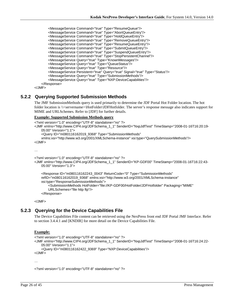```
 <MessageService Command="true" Type="ResumeQueue"/>
        <MessageService Command="true" Type="AbortQueueEntry"/>
 <MessageService Command="true" Type="HoldQueueEntry"/>
 <MessageService Command="true" Type="RemoveQueueEntry"/>
 <MessageService Command="true" Type="ResumeQueueEntry"/>
 <MessageService Command="true" Type="SubmitQueueEntry"/>
 <MessageService Command="true" Type="SuspendQueueEntry"/>
 <MessageService Command="true" Type="StopPersistentChannel"/>
        <MessageService Query="true" Type="KnownMessages"/>
        <MessageService Query="true" Type="QueueStatus"/>
        <MessageService Query="true" Type="Resource"/>
        <MessageService Persistent="true" Query="true" Signal="true" Type="Status"/>
        <MessageService Query="true" Type="SubmissionMethods"/>
        <MessageService Query="true" Type="NXP:DeviceCapabilities"/>
    </Response>
```
</JMF>

### <span id="page-25-0"></span>**5.2.2 Querying Supported Submission Methods**

The JMF SubmissionMethods query is used primarily to determine the JDF Portal Hot Folder location. The hot folder location is  $\|\$ servername> $\He$ OtFolder $\D$ DFHotfolder. The server's response message also indicates support for MIME and URLSchemes. Refer to [JDF] for further details.

#### **Example: Supported Submission Methods query**

```
<?xml version="1.0" encoding="UTF-8" standalone="no" ?>
<JMF xmlns="http://www.CIP4.org/JDFSchema_1_1" SenderID="NxpJdfTest" TimeStamp="2008-01-16T16:20:19-
    05:00" Version="1.1">
     <Query ID="m080116162019_9368" Type="SubmissionMethods" 
    xmlns:xsi="http://www.w3.org/2001/XMLSchema-instance" xsi:type="QuerySubmissionMethods"/>
</JMF>
<?xml version="1.0" encoding="UTF-8" standalone="no" ?>
<JMF xmlns="http://www.CIP4.org/JDFSchema_1_1" SenderID="KP-GDF00" TimeStamp="2008-01-16T16:22:43-
   05:00" Version="1.3">
```

```
 <Response ID="m080116162243_0043" ReturnCode="0" Type="SubmissionMethods" 
refID="m080116162019_9368" xmlns:xsi="http://www.w3.org/2001/XMLSchema-instance" 
xsi:type="ResponseSubmissionMethods">
    <SubmissionMethods HotFolder="file://KP-GDF00/HotFolder/JDFHotfolder" Packaging="MIME" 
    URLSchemes="file http ftp"/>
 </Response>
```
</JMF>

### <span id="page-25-1"></span>**5.2.3 Querying for the Device Capabilities File**

The Device Capabilities File content can be retrieved using the NexPress front end JDF Portal JMF Interface. Refer to section [3.4.4.1](#page-19-0) and [KNDIR] for more detail on the Device Capabilities File.

#### **Example:**

```
<?xml version="1.0" encoding="UTF-8" standalone="no" ?>
<JMF xmlns="http://www.CIP4.org/JDFSchema_1_1" SenderID="NxpJdfTest" TimeStamp="2008-01-16T16:24:22-
   05:00" Version="1.1">
     <Query ID="m080116162422_9369" Type="NXP:DeviceCapabilities"/>
</JMF>
```
…

<?xml version="1.0" encoding="UTF-8" standalone="no" ?>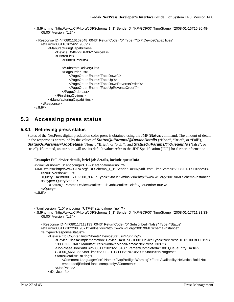```
<JMF xmlns="http://www.CIP4.org/JDFSchema_1_1" SenderID="KP-GDF00" TimeStamp="2008-01-16T16:26:48-
   05:00" Version="1.3">
 <Response ID="m080116162648_0043" ReturnCode="0" Type="NXP:DeviceCapabilities" 
   refID="m080116162422_9369">
```

```
 <ManufacturingCapabilities>
             <DeviceID>KP-GDF00</DeviceID>
            <PrinterList>
                <PrinterDefaults>
                …
                </SubstrateDeliveryList>
                <PageOrderList>
                    <PageOrder Enum="FaceDown"/>
                    <PageOrder Enum="FaceUp"/>
                    <PageOrder Enum="FaceDownReverseOrder"/>
                    <PageOrder Enum="FaceUpReverseOrder"/>
                </PageOrderList>
            </FinishingOptions>
        </ManufacturingCapabilities>
    </Response>
</JMF>
```
# <span id="page-26-0"></span>**5.3 Accessing press status**

### <span id="page-26-1"></span>**5.3.1 Retrieving press status**

Status of the NexPress digital production color press is obtained using the JMF **Status** command. The amount of detail in the response is controlled by the values of *StatusQuParams/@DeviceDetails* ("None", "Brief", or "Full"), *StatusQuParams/@JobDetails*("None", "Brief", or "Full"), and *StatusQuParams/@QueueInfo* ("false", or "true"). If omitted, an attribute will use its default value; refer to the JDF Specification [JDF] for further information.

#### **Example: Full device details, brief job details, include queueInfo**

```
<?xml version="1.0" encoding="UTF-8" standalone="no" ?>
<JMF xmlns="http://www.CIP4.org/JDFSchema_1_1" SenderID="NxpJdfTest" TimeStamp="2008-01-17T10:22:08-
   05:00" Version="1.1">
     <Query ID="m080117102208_9371" Type="Status" xmlns:xsi="http://www.w3.org/2001/XMLSchema-instance" 
    xsi:type="QueryStatus">
         <StatusQuParams DeviceDetails="Full" JobDetails="Brief" QueueInfo="true"/>
     </Query>
</JMF>
…
<?xml version="1.0" encoding="UTF-8" standalone="no" ?>
<JMF xmlns="http://www.CIP4.org/JDFSchema_1_1" SenderID="KP-GDF00" TimeStamp="2008-01-17T11:31:33-
   05:00" Version="1.3">
     <Response ID="m080117113133_0043" ReturnCode="0" Subscribed="false" Type="Status" 
    refID="m080117102208_9371" xmlns:xsi="http://www.w3.org/2001/XMLSchema-instance" 
    xsi:type="ResponseStatus">
         <DeviceInfo CounterUnit="Sheets" DeviceStatus="Running">
            <Device Class="Implementation" DeviceID="KP-GDF00" DeviceType="NexPress 10.01.00 BLD0159 / 
            1300 OFFICIAL" Manufacturer="Kodak" ModelName="NexPress_NPP"/>
            <JobPhase JobPartID="n080117102322_8468" PercentCompleted="100" QueueEntryID="KP-
            GDF00_565135" StartTime="2008-01-17T11:31:07-05:00" Status="InProgress" 
            StatusDetails="RIP'ing">
                <Comment Language="en" Name="NxpPreflightWarning">Font: Availability|Helvetica-Bold|Not 
                embedded|Embed fonts completely</Comment>
             </JobPhase>
         </DeviceInfo>
```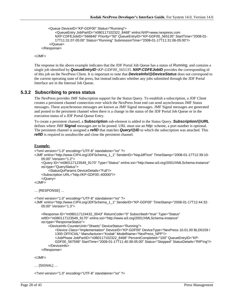```
 <Queue DeviceID="KP-GDF00" Status="Running">
```

```
<QueueEntry JobPartID="n080117102322_8468" xmlns:NXP=www.nexpress.com
       NXP:CDFEJobID="566846" Priority="50" QueueEntryID="KP-GDF00_565135" StartTime="2008-01-
       17T11:31:07-05:00" Status="Running" SubmissionTime="2008-01-17T11:31:06-05:00"/>
     </Queue>
 </Response>
```
</JMF>

The response in the above example indicates that the JDF Portal Job Queue has a status of *Running*, and contains a single job identified by *QueueEntryID*=*KP-GDF00\_565135*. *NXP:CDFEJobID* provides the corresponding id of this job on the NexPress Client. It is important to note that *DeviceInfo/@DeviceStatus* does not correspond to the current operating state of the press, but instead indicates whether any jobs submitted through the JDF Portal Interface are in the Internal Job Queue.

### <span id="page-27-0"></span>**5.3.2 Subscribing to press status**

The NexPress provides JMF Subscription support for the Status Query. To establish a subscription, a JDF Client creates a persistent channel connection over which the NexPress front end can send asynchronous JMF Status messages. These asynchronous messages are known as JMF Signal messages. JMF Signal messages are generated and posted to the persistent channel when there is a change in the status of the JDF Portal Job Queue or in the execution status of a JDF Portal Queue Entry.

To create a persistent channel, a **Subscription** sub-element is added to the Status Query. *Subscription/@URL* defines where JMF **Signal** messages are to be posted. URL must use an *http:* scheme, a port number is optional. The persistent channel is assigned a *refID* that matches *Query/@ID* to which the subscription was attached. This *refID* is required to unsubscribe and close the persistent channel.

#### **Example:**

```
<?xml version="1.0" encoding="UTF-8" standalone="no" ?>
<JMF xmlns="http://www.CIP4.org/JDFSchema_1_1" SenderID="NxpJdfTest" TimeStamp="2008-01-17T12:39:10-
    05:00" Version="1.2">
     <Query ID="m080117123549_9170" Type="Status" xmlns:xsi="http://www.w3.org/2001/XMLSchema-instance" 
    xsi:type="QueryStatus">
         <StatusQuParams DeviceDetails="Full"/>
     <Subscription URL="http://KP-GDF00::40000/"/>
     </Query>
</JMF>
… [RESPONSE] …
<?xml version="1.0" encoding="UTF-8" standalone="no" ?>
<JMF xmlns="http://www.CIP4.org/JDFSchema_1_1" SenderID="KP-GDF00" TimeStamp="2008-01-17T12:44:32-
    05:00" Version="1.3">
     <Response ID="m080117124432_0043" ReturnCode="0" Subscribed="true" Type="Status"
```

```
refID="m080117123549_9170" xmlns:xsi="http://www.w3.org/2001/XMLSchema-instance" 
xsi:type="ResponseStatus">
     <DeviceInfo CounterUnit="Sheets" DeviceStatus="Running">
        <Device Class="Implementation" DeviceID="KP-GDF00" DeviceType="NexPress 10.01.00 BLD0159 / 
        1300 OFFICIAL" Manufacturer="Kodak" ModelName="NexPress_NPP"/>
        <JobPhase JobPartID="n080117102322_8468" PercentCompleted="100" QueueEntryID="KP-
        GDF00_567598" StartTime="2008-01-17T11:40:38-05:00" Status="Stopped" StatusDetails="RIP'ing"/>
     </DeviceInfo>
 </Response>
```
</JMF>

… [SIGNAL] …

<?xml version="1.0" encoding="UTF-8" standalone="no" ?>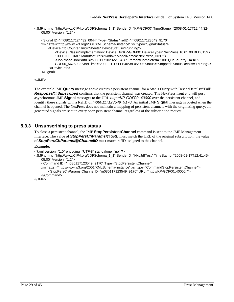<JMF xmlns="http://www.CIP4.org/JDFSchema\_1\_1" SenderID="KP-GDF00" TimeStamp="2008-01-17T12:44:32- 05:00" Version="1.3">

```
 <Signal ID="m080117124432_0044" Type="Status" refID="m080117123549_9170" 
xmlns:xsi="http://www.w3.org/2001/XMLSchema-instance" xsi:type="SignalStatus">
     <DeviceInfo CounterUnit="Sheets" DeviceStatus="Running">
        <Device Class="Implementation" DeviceID="KP-GDF00" DeviceType="NexPress 10.01.00 BLD0159 / 
        1300 OFFICIAL" Manufacturer="Kodak" ModelName="NexPress_NPP"/>
        <JobPhase JobPartID="n080117102322_8468" PercentCompleted="100" QueueEntryID="KP-
        GDF00_567598" StartTime="2008-01-17T11:40:38-05:00" Status="Stopped" StatusDetails="RIP'ing"/>
     </DeviceInfo>
 </Signal>
```

```
</JMF>
```
The example JMF **Query** message above creates a persistent channel for a Status Query with DeviceDetails="Full". *Response/@Subscribed* confirms that the persistent channel was created. The NexPress front end will post asynchronous JMF **Signal** messages to the URL *http://KP-GDF00::40000* over the persistent channel, and identify these signals with a RefID of *m080117123549\_9170*. An initial JMF **Signal** message is posted when the channel is opened. The NexPress does not maintain a mapping of persistent channels with the originating query; all generated signals are sent to every open persistent channel regardless of the subscription request.

### <span id="page-28-0"></span>**5.3.3 Unsubscribing to press status**

To close a persistent channel, the JMF **StopPersistentChannel** command is sent to the JMF Management Interface. The value of *StopPersChParams/@URL* must match the URL of the original subscription; the value of *StopPersChParams/@ChannelID* must match refID assigned to the channel.

#### **Example:**

```
<?xml version="1.0" encoding="UTF-8" standalone="no" ?>
```
<JMF xmlns="http://www.CIP4.org/JDFSchema\_1\_1" SenderID="NxpJdfTest" TimeStamp="2008-01-17T12:41:45- 05:00" Version="1.2">

```
 <Command ID="m080117123549_9170" Type="StopPersistentChannel"
```
xmlns:xsi="http://www.w3.org/2001/XMLSchema-instance" xsi:type="CommandStopPersistentChannel"> <StopPersChParams ChannelID="m080117123549\_9170" URL="http://KP-GDF00::40000/"/>

 </Command>  $<$ /JMF $>$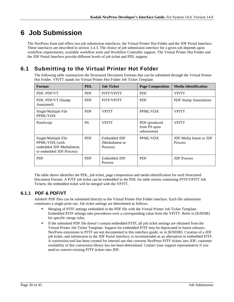# <span id="page-29-0"></span>**6 Job Submission**

The NexPress front end offers two job submission interfaces: the Virtual Printer Hot Folder and the JDF Portal Interface. These interfaces are described in section [3.4.3.](#page-17-1) The choice of job submission interface for a given job depends upon workflow requirements, available workflow tools and Workflow Controller support. The Virtual Printer Hot Folder and the JDF Portal Interface provide different levels of job ticket and PDL support.

# <span id="page-29-1"></span>**6.1 Submitting to the Virtual Printer Hot Folder**

The following table summarizes the Structured Document Formats that can be submitted through the Virtual Printer Hot Folder. VPJTT stands for Virtual Printer Hot Folder Job Ticket Template.

| Format                                                                                          | <b>PDL</b> | <b>Job Ticket</b>                           | <b>Page Composition</b>                      | <b>Media Identification</b>                             |
|-------------------------------------------------------------------------------------------------|------------|---------------------------------------------|----------------------------------------------|---------------------------------------------------------|
| PDF, PDF/VT                                                                                     | <b>PDF</b> | PJTF/VPJTT                                  | <b>PDF</b>                                   | <b>VPJTT</b>                                            |
| PDF, PDF/VT (Stamp)<br>Annotated)                                                               | <b>PDF</b> | PJTF/VPJTT                                  | <b>PDF</b>                                   | <b>PDF Stamp Annotations</b>                            |
| Single/Multiple File<br>PPML/VDX                                                                | <b>PDF</b> | <b>VPJTT</b>                                | PPML/VDX                                     | <b>VPJTT</b>                                            |
| PostScript                                                                                      | <b>PS</b>  | <b>VPJTT</b>                                | PDF (produced<br>from PS upon<br>submission) | <b>VPJTT</b>                                            |
| Single/Multiple File<br>PPML/VDX (with<br>embedded JDF MediaIntent,<br>or embedded JDF Process) | <b>PDF</b> | Embedded JDF<br>(MediaIntent or<br>Process) | PPML/VDX                                     | <b>JDF</b> Media Intent or <b>JDF</b><br><b>Process</b> |
| <b>PDF</b>                                                                                      | <b>PDF</b> | Embedded JDF<br>Process                     | <b>PDF</b>                                   | <b>JDF</b> Process                                      |

The table above identifies the PDL, job ticket, page composition and media identification for each Structured Document Format. A PJTF job ticket can be embedded in the PDL for table entries containing PJTF/VPJTT Job Tickets; the embedded ticket will be merged with the VPJTT.

### <span id="page-29-2"></span>**6.1.1 PDF & PDF/VT**

Adobe® PDF files can be submitted directly to the Virtual Printer Hot Folder interface. Each file submission constitutes a single print run. Job ticket settings are determined as follows:

- Merging of PJTF settings embedded in the PDF file with the Virtual Printer Job Ticket Template. Embedded PJTF settings take precedence over a corresponding value from the VPJTT. Refer to [KNDIR] for specific merge rules.
- If the submitted PDF file doesn't contain embedded PJTF, all job ticket settings are obtained from the Virtual Printer Job Ticket Template. Support for embedded PJTF may be deprecated in future releases. NexPress extensions to PJTF are not documented in this interface guide, or in [KNDIR]. Creation of a JDF job ticket, and submission to the JDF Portal interface, is recommended as an alternative to embedded PJTF. A conversion tool has been created for internal use that converts NexPress PJTF tickets into JDF; customer availablity of this conversion library has not been determined. Contact your support representative if you need to convert existing PJTF tickets into JDF.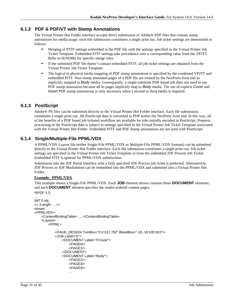## <span id="page-30-0"></span>**6.1.2 PDF & PDF/VT with Stamp Annotations**

The Virtual Printer Hot Folder interface accepts direct submission of Adobe® PDF files that contain stamp annotations for media usage; each file submission constitutes a single print run. Job ticket settings are determined as follows:

- Merging of PJTF settings embedded in the PDF file with the settings specified in the Virtual Printer Job Ticket Template. Embedded PJTF settings take precedence over a corresponding value from the VPJTT. Refer to [KNDIR] for specific merge rules.
- If the submitted PDF file doesn't contain embedded PJTF, all job ticket settings are obtained from the Virtual Printer Job Ticket Template.
- The logical to physical media mapping of PDF stamp annotations is specified by the combined VPJTT and embedded PJTF. Non-stamp annotated pages of a PDF file are treated by the NexPress front end as implicitly mapped to *Body* media. Consequently, a single-substrate PDF-based job does not need to use PDF stamp annotation because all its pages implicitly map to *Body* media. The use of explicit *Cover* and *Insert* PDF stamp annotations is only necessary when a second or third media is required.

### <span id="page-30-1"></span>**6.1.3 PostScript**

Adobe® PS files can be submitted directly to the Virtual Printer Hot Folder interface. Each file submission constitutes a single print run. All PostScript data is converted to PDF within the NexPress front end. In this way, all of the benefits of a PDF based job ticketed workflow are available for jobs initially encoded in PostScript. Prepress processing of the PostScript data is subject to settings specified in the Virtual Printer Job Ticket Template associated with the Virtual Printer Hot Folder. Embedded PJTF and PDF Stamp annotations are not used with PostScript.

## <span id="page-30-2"></span>**6.1.4 Single/Multiple-File PPML/VDX**

A PPML/VDX-Layout file (either Single-File PPML/VDX or Multiple-File PPML/VDX formats) can be submitted directly to the Virtual Printer Hot Folder interface. Each file submission constitutes a single print run. Job ticket settings are specified in the Virtual Printer Job Ticket Template or from the embedded JDF Process Job Ticket. Embedded PJTF is ignored for PPML/VDX submissions.

Submission into the JDF Portal Interface with a fully specified JDF Process job ticket is preferred. Alternatively, JDF Process or JDF MediaIntent can be embedded into the PPML/VDX and submitted into a Virtual Printer Hot Folder.

### **Example: PPML/VDX**

This example shows a Single-File PPML/VDX. Each **JOB** element shown contains three **DOCUMENT** elements, and each **DOCUMENT** element specifies the reader-ordered content pages.

```
%PDF-1.5
…
587 0 obj
<< /Length … >>
stream
<PPMLVDX>
   <ContentBindingTable> … </ContentBindingTable>
   <Layout>
       <PPML>
           …
           <PAGE_DESIGN TrimBox="0 0 612 792" BleedBox="-18 -18 630 810"/>
           <JOB Label="0"><DOCUMENT Label="FCover">
                   <PAGE0/>
                   <PAGE1/>
               </DOCUMENT>
               <DOCUMENT Label="Body"> 
                   <PAGE2/>
                   <PAGE3/>
                   <PAGE4/>
                   …
```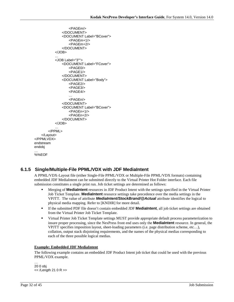```
<PAGEm/>
              </DOCUMENT>
              <DOCUMENT Label="BCover">
                 <PAGEm+1/>
                  <PAGEm+2/>
              </DOCUMENT>
          </JOB>
           …
           <JOB Label="3"">
              <DOCUMENT Label="FCover">
                 <PAGE0/>
                 <PAGE1/>
              </DOCUMENT>
              <DOCUMENT Label="Body"> 
                 <PAGE2/>
                 <PAGE3/>
                 <PAGE4/>
                  …
                 <PAGEn/>
              </DOCUMENT>
              <DOCUMENT Label="BCover">
                  <PAGEn+1/>
                 <PAGEn+2/>
              </DOCUMENT>
          </JOB></PPML>
   </Layout>
</PPMLVDX>
endstream
endobj
…
%%EOF
```
## <span id="page-31-0"></span>**6.1.5 Single/Multiple-File PPML/VDX with JDF MediaIntent**

A PPML/VDX-Layout file (either Single-File PPML/VDX or Multiple-File PPML/VDX formats) containing embedded JDF MediaIntent can be submitted directly to the Virtual Printer Hot Folder interface. Each file submission constitutes a single print run. Job ticket settings are determined as follows:

- Merging of **MediaIntent** resources in JDF Product Intent with the settings specified in the Virtual Printer Job Ticket Template. **MediaIntent** resource settings take precedence over the media settings in the VPJTT. The value of attribute *MediaIntent/StockBrand/@Actual* attribute identifies the logical to physical media mapping. Refer to [KNDIR] for more detail.
- If the submitted PDF file doesn't contain embedded JDF **MediaIntent**, all job ticket settings are obtained from the Virtual Printer Job Ticket Template.
- Virtual Printer Job Ticket Template settings MUST provide appropriate default process parameterization to insure proper processing, since the NexPress front end uses only the **MediaIntent** resource. In general, the VPJTT specifies imposition layout, sheet-loading parameters (i.e. page distribution scheme, etc…), collation, output stack disjointing requirements, and the names of the physical medias corresponding to each of the three possible logical medias.

#### **Example: Embedded JDF MediaIntent**

The following example contains an embedded JDF Product Intent job ticket that could be used with the previous PPML/VDX example.

… 20 0 obj << /Length 21 0 R >>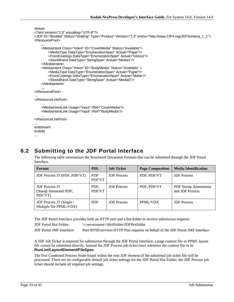```
stream
<?xml version="1.0" encoding="UTF-8"?>
<JDF ID="Booklet" Status="Waiting" Type="Product" Version="1.3" xmlns="http://www.CIP4.org/JDFSchema_1_1">
<ResourcePool>
    …
    <MediaIntent Class="Intent" ID="CoverMedia" Status="Available">
        <MediaType DataType="EnumerationSpan" Actual="Paper"/>
        <FrontCoatings DataType="EnumerationSpan" Actual="Glossy"/>
        <StockBrand DataType="StringSpan" Actual="Media1"/>
    </MediaIntent>
    <MediaIntent Class="Intent" ID="BodyMedia" Status="Available" >
        <MediaType DataType="EnumerationSpan" Actual="Paper"/>
        <FrontCoatings DataType="EnumerationSpan" Actual="Matte"/>
        <StockBrand DataType="StringSpan" Actual="Media0"/>
    </MediaIntent>
    …
</ResourcePool>
…
</ResourceLinkPool>
    …
    <MediaIntentLink Usage="Input" rRef="CoverMedia"/>
    <MediaIntentLink Usage="Input" rRef="BodyMedia"/>
    …
</ResourceLinkPool>
…
endstream
endobj
```

```
6.2 Submitting to the JDF Portal Interface
```
The following table summarizes the Structured Document Formats that can be submitted through the JDF Portal Interface.

| Format                                                    | <b>PDL</b>           | <b>Job Ticket</b>  | <b>Page Composition</b> | <b>Media Identification</b>                     |
|-----------------------------------------------------------|----------------------|--------------------|-------------------------|-------------------------------------------------|
| <b>JDF Process JT (PDF, PDF/VT)</b>                       | <b>PDF</b><br>PDF/VT | <b>JDF</b> Process | PDF, PDF/VT             | <b>JDF</b> Process                              |
| <b>JDF</b> Process JT<br>(Stamp Annotated PDF,<br>PDF/VT) | PDF.<br>PDF/VT       | <b>JDF</b> Process | PDF, PDF/VT             | <b>PDF</b> Stamp Annotations<br>and JDF Process |
| JDF Process JT (Single /<br>Multiple file PPML/VDX)       | <b>PDF</b>           | <b>JDF</b> Process | PPML/VDX                | <b>JDF</b> Process                              |

The JDF Portal Interface provides both an HTTP port and a hot-folder to receive submission requests.

JDF Portal Hot Folder: \\<servername>\HotFolder\JDFHotfolder

JDF Portal JMF Interface: Port 49700 services HTTP Post requests on behalf of the JDF Portal JMF Interface

A JDF Job Ticket is required for submission through the JDF Portal Interface; a page content file or PPML layout file cannot be submitted directly. Instead the JDF Process job ticket must reference the content file in its **RunList/LayoutElement/FileSpec**.

The first Combined Process Node found within the root JDF element of the submitted job ticket file will be processed. There are no configurable default job ticket settings for the JDF Portal Hot Folder; the JDF Process job ticket should include all required job settings.

…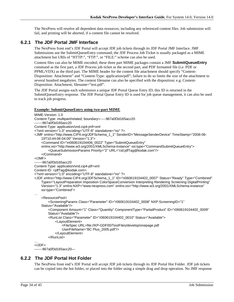The NexPress will resolve all dependent data resources, including any referenced content files. Job submission will fail, and printing will be aborted, if a content file cannot be resolved.

### <span id="page-33-0"></span>**6.2.1 The JDF Portal JMF Interface**

The NexPress front end's JDF Portal will accept JDF job tickets through its JDF Portal JMF Interface. JMF Submissions use the SubmitQueueEntry command; the JDF Process Job Ticket is usually packaged as a MIME attachment but URIs of "HTTP:", "FTP:", or "FILE:" scheme can also be used.

Content files can also be MIME encoded; these three part MIME packages contain a JMF **SubmitQueueEntry** command as the first part, a JDF Process job ticket as the second part, and PDF formatted file (i.e. PDF or PPML/VDX) as the third part. The MIME header for the content file attachment should specify "Content-Disposition: Attachment" and "Content-Type: application/pdf"; failure to do so limits the size of the attachment to several hundred megabytes. The content filename can also be specified with the disposition; e.g. Content-Disposition: Attachment; filename="test.pdf".

The JDF Portal assigns each submission a unique JDF Portal Queue Entry ID; this ID is returned in the SubmitQueueEntry response. The JDF Portal Queue Entry ID is used for job queue management, it can also be used to track job progress.

#### **Example: SubmitQueueEntry using two-part MIME**

```
MIME-Version: 1.0
Content-Type: multipart/related; boundary=-----967a0f3d165acc20
-------967a0f3d165acc20
Content-Type: application/vnd.cip4-jmf+xml
<?xml version="1.0" encoding="UTF-8" standalone="no" ?>
<JMF xmlns="http://www.CIP4.org/JDFSchema_1_1" SenderID="MessageSenderDevice" TimeStamp="2006-06-
    19T10:44:06-04:00" Version="1.3">
     <Command ID="m060619104406_0022" Type="SubmitQueueEntry" 
    xmlns:xsi="http://www.w3.org/2001/XMLSchema-instance" xsi:type="CommandSubmitQueueEntry">
         <QueueSubmissionParams Priority="2" URL="cid:jdfTag@kodak.com"/>
     </Command>
</JMF>
-------967a0f3d165acc20
Content-Type: application/vnd.cip4-jdf+xml
Content-ID: <idfTag@kodak.com>
<?xml version="1.0" encoding="UTF-8" standalone="no" ?>
<JDF xmlns="http://www.CIP4.org/JDFSchema_1_1" ID="n060619104402_0007" Status="Ready" Type="Combined" 
    Types="LayoutPreparation Imposition ColorSpaceConversion Interpreting Rendering Screening DigitalPrinting" 
    Version="1.3" xmlns:NXP="www.nexpress.com" xmlns:xsi="http://www.w3.org/2001/XMLSchema-instance" 
    xsi:type="Combined">
…
     <ResourcePool>
         <ScreeningParams Class="Parameter" ID="r060619104402_0008" NXP:ScreeningID="1" 
    Status="Available"/>
        <Component Amount="1" Class="Quantity" ComponentType="PartialProduct" ID="r060619104402_0009" 
        Status="Available"/>
         <RunList Class="Parameter" ID="r060619104402_0010" Status="Available">
             <LayoutElement>
                 <FileSpec URL=file://KP-GDF00/TestFiles/develop/onepage.pdf
                UserFileName="BC Plus_2005.pdf"/>
             </LayoutElement>
         </RunList>
…
</JDF>
-------967a0f3d165acc20—
```
### <span id="page-33-1"></span>**6.2.2 The JDF Portal Hot Folder**

The NexPress front end's JDF Portal will accept JDF job tickets through its JDF Portal Hot Folder. JDF job tickets can be copied into the hot folder, or placed into the folder using a simple drag and drop operation. No JMF response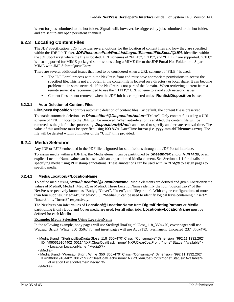is sent for jobs submitted to the hot folder. Signals will, however, be triggered by jobs submitted to the hot folder, and are sent to any open persistent channels.

### <span id="page-34-0"></span>**6.2.3 Locating Content Files**

The JDF Specification [JDF] provides several options for the location of content files and how they are specified within the JDF Job Ticket. *JDF/ResourcePool/RunList/LayoutElement/FileSpec/@URL* identifies within the JDF Job Ticket where the file is located. URL schemes of "FILE:", "FTP:", and "HTTP:" are supported. "CID:" is also supported for MIME packaged submissions using a MIME file to the JDF Portal Hot Folder, or a 3-part MIME with JMF SubmitQueueEntry.

There are several additional issues that need to be considered when a URL scheme of "FILE:" is used:

- The JDF Portal process within the NexPress front end must have appropriate permissions to access the specified file. This is not a problem if the content file is located on a directory or local share. It can become problematic in some networks if the NexPress is not part of the domain. When retrieving content from a remote server it is recommended to use the "HTTP:" URL scheme to avoid such network issues.
- Content files are not removed when the JDF Job has completed unless **Runlist/Disposition** is used.

#### <span id="page-34-1"></span>**6.2.3.1 Auto-Deletion of Content Files**

**FileSpec/Disposition** controls automatic deletion of content files. By default, the content file is preserved.

To enable automatic deletion, set *Disposition/@DispositionAction*="Delete". Only content files using a URL scheme of "FILE:" local to the DFE will be removed. When auto-deletion is enabled, the content file will be removed as the job finishes processing. *Disposition/@Until* can be used to specify an alternate removal time. The value of this attribute must be specified using ISO 8601 Date/Time format (i.e. yyyy-mm-ddThh:mm:ss-tz:tz). The file will be deleted within 5 minutes of the "Until" time provided.

### <span id="page-34-2"></span>**6.2.4 Media Selection**

Any JDF or PJTF embedded in the PDF file is ignored for submissions through the JDF Portal interface.

To assign media within a JDF file, the Media element can be partitioned by *SheetIndex* and/or *RunTags*, or an explicit LocationName value can be used with an unpartitioned Media element. See Section [4.1.1](#page-21-2) for details on specifying media using PDF stamp annotations. These annotations can be used with *RunTags* to assign pages to specific media.

#### <span id="page-34-3"></span>**6.2.4.1 Media/Location/@LocationName**

To define media using *Media/Location/@LocationName*, Media elements are defined and given LocationName values of Media0, Media1, Media2, or Media3. These LocationNames identify the four "logical trays" of the NexPress respectively known as "Body", "Cover", "Insert", and "Separator". With engine configurations of more than four supplies, "Media4", "Media5", …, "Media10" can be used to identify logical trays containing "Insert2", "Insert3", ... "Insert8" respectively.

The NexPress can infer values of **Location/@LocationName** from **DigitalPrintingParams** or **Media** partitioning if only Body and Cover media are used. For all other jobs, **Location/@LocationName** must be defined for each **Media**.

#### **Example: Media Selection Using LocationName**

In the following example, body pages will use SterlingUltraDigitalGloss\_118\_350x470, cover pages will use Wausau\_Bright\_White\_350\_350x470, and insert pages will use AquaTEC\_Permanent\_Uncoated\_237\_350x470.

 <Media Brand="SterlingUltraDigitalGloss\_118\_350x470" Class="Consumable" Dimension="992.11 1332.262" ID="r060619104402\_0011" NXP:ClearCoatBack="none" NXP:ClearCoatFront="none" Status="Available"> <Location LocationName="Media0"/>

</Media>

 <Media Brand="Wausau\_Bright\_White\_350\_350x470" Class="Consumable" Dimension="992.11 1332.262" ID="r060619104402\_0012" NXP:ClearCoatBack="none" NXP:ClearCoatFront="none" Status="Available"> <Location LocationName="Media1"/>

</Media>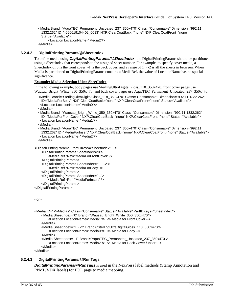<Media Brand="AquaTEC\_Permanent\_Uncoated\_237\_350x470" Class="Consumable" Dimension="992.11 1332.262" ID="r060619104402\_0013" NXP:ClearCoatBack="none" NXP:ClearCoatFront="none" Status="Available"> <Location LocationName="Media2"/>

```
 </Media>
```
#### <span id="page-35-0"></span>**6.2.4.2 DigitalPrintingParams/@SheetIndex**

To define media using *DigitalPrintingParams/@SheetIndex*, the DigitalPrintingParams should be partitioned using a SheetIndex that corresponds to the assigned sheet number. For example, to specify cover media, a SheetIndex of 0 is the front cover,  $-1$  is the back cover, and a range of  $1 \sim -2$  is all the sheets in between. When Media is partitioned or DigitalPrintingParams contains a MediaRef, the value of LocationName has no special significance.

#### **Example: Media Selection Using SheetIndex**

In the following example, body pages use SterlingUltraDigitalGloss\_118\_350x470, front cover pages use Wausau\_Bright\_White\_350\_350x470, and back cover pages use AquaTEC\_Permanent\_Uncoated\_237\_350x470.

```
 <Media Brand="SterlingUltraDigitalGloss_118_350x470" Class="Consumable" Dimension="992.11 1332.262" 
 ID="MediaForBody" NXP:ClearCoatBack="none" NXP:ClearCoatFront="none" Status="Available">
  <Location LocationName="Media0"/>
```
</Media>

```
 <Media Brand="Wausau_Bright_White_350_350x470" Class="Consumable" Dimension="992.11 1332.262" 
 ID="MediaForFrontCover" NXP:ClearCoatBack="none" NXP:ClearCoatFront="none" Status="Available">
  <Location LocationName="Media1"/>
```
</Media>

```
 <Media Brand="AquaTEC_Permanent_Uncoated_237_350x470" Class="Consumable" Dimension="992.11 
 1332.262" ID="MediaForInsert" NXP:ClearCoatBack="none" NXP:ClearCoatFront="none" Status="Available">
  <Location LocationName="Media2"/>
```
</Media>

```
…
<DigitalPrintingParams PartIDKeys="SheetIndex"… >
```

```
<DigitalPrintingParams SheetIndex="0">
```
<MediaRef rRef="MediaForFrontCover" /> </DigitalPrintingParams>

```
<DigitalPrintingParams SheetIndex="1 ~ -2">
```

```
<MediaRef rRef="MediaForBody" />
```

```
</DigitalPrintingParams>
```

```
<DigitalPrintingParams SheetIndex="-1">
```

```
<MediaRef rRef="MediaForInsert" />
```

```
</DigitalPrintingParams>
```

```
</DigitalPrintingParams>
```

```
…
```
…

```
- or -
```

```
<Media ID="MyMedias" Class="Consumable" Status="Available" PartIDKeys="SheetIndex">
    <Media SheetIndex="0" Brand="Wausau_Bright_White_350_350x470">
        <Location LocationName="Media1"/> <!- Media for Front Cover -->
    </Media>
    <Media SheetIndex="1 ~ -2" Brand="SterlingUltraDigitalGloss_118_350x470">
        <Location LocationName="Media0"/> <!- Media for Body -->
    </Media>
    <Media SheetIndex="-1" Brand="AquaTEC_Permanent_Uncoated_237_350x470">
        <Location LocationName="Media2"/> <!- Media for Back Cover / Insert -->
    </Media>
```
</Media>

### <span id="page-35-1"></span>**6.2.4.3 DigitalPrintingParams/@RunTags**

*DigitalPrintingParams/@RunTags* is used in the NexPress label methods (Stamp Annotation and PPML/VDX labels) for PDL page to media mapping.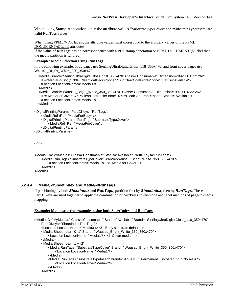When using Stamp Annotation, only the attribute values "SubstrateTypeCover" and "SubstrateTypeInsert" are valid RunTags values.

When using PPML/VDX labels, the attribute values must correspond to the arbitrary values of the PPML [DOCUMENT/@Label](mailto:DOCUMENT/@Label) attributes.

If the value of RunTags has no correspondence with a PDF stamp annotation or PPML DOCUMENT/@Label then the media partition is ignored.

#### **Example: Media Selection Using RunTags**

In the following example, body pages use SterlingUltraDigitalGloss\_118\_350x470, and front cover pages use Wausau\_Bright\_White\_350\_350x470.

```
 <Media Brand="SterlingUltraDigitalGloss_118_350x470" Class="Consumable" Dimension="992.11 1332.262" 
    ID="MediaForBody" NXP:ClearCoatBack="none" NXP:ClearCoatFront="none" Status="Available">
    <Location LocationName="Media0"/>
   </Media>
   <Media Brand="Wausau_Bright_White_350_350x470" Class="Consumable" Dimension="992.11 1332.262" 
    ID="MediaForCover" NXP:ClearCoatBack="none" NXP:ClearCoatFront="none" Status="Available">
    <Location LocationName="Media1"/>
   </Media>
…
<DigitalPrintingParams PartIDKeys="RunTags"… >
    <MediaRef rRef="MediaForBody" />
    <DigitalPrintingParams RunTags="SubstrateTypeCover">
        <MediaRef rRef="MediaForCover" />
    </DigitalPrintingParams>
</DigitalPrintingParams>
…
- or -
…
<Media ID="MyMedias" Class="Consumable" Status="Available" PartIDKeys="RunTags">
    <Media RunTags="SubstrateTypeCover" Brand="Wausau_Bright_White_350_350x470">
        <Location LocationName="Media1"/> <!- Media for Cover -->
    </Media>
</Media>
```
#### <span id="page-36-0"></span>**6.2.4.4 Media/@SheetIndex and Media/@RunTags**

If partitioning by both *SheetIndex* and *RunTags*, partition first by *SheetIndex*, then by *RunTags*. These PartIDKeys are used together to apply the combination of NexPress cover-mode and label methods of page-to-media mapping.

#### **Example: Media selection examples using both SheetIndex and RunTags**

```
<Media ID="MyMedias" Class="Consumable" Status="Available" Brand=" SterlingUltraDigitalGloss_118_350x470" 
    PartIDKeys="SheetIndex RunTags">
    <Location LocationName="Media0"/> <!-- Body substrate default-->
    <Media SheetIndex="0 -1" Brand=" Wausau_Bright_White_350_350x470">
        <Location LocationName="Media1"/> <!- Cover media -->
    </Media>
    <Media SheetIndex="1 ~ -2" >
        <Media RunTags="SubstrateTypeCover" Brand=" Wausau_Bright_White_350_350x470">
            <Location LocationName="Media1"/>
        </Media>
        <Media RunTags="SubstrateTypeInsert" Brand=" AquaTEC_Permanent_Uncoated_237_350x470">
            <Location LocationName="Media2"/>
        </Media>
    </Media>
```
…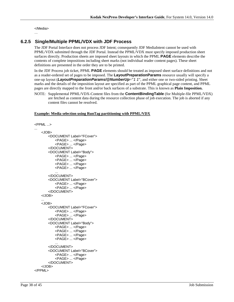</Media>

#### …

## <span id="page-37-0"></span>**6.2.5 Single/Multiple PPML/VDX with JDF Process**

The JDF Portal Interface does not process JDF Intent; consequently JDF MediaIntent cannot be used with PPML/VDX submitted through the JDF Portal. Instead the PPML/VDX must specify imposed production sheet surfaces directly. Production sheets are imposed sheet layouts in which the PPML **PAGE** elements describe the contents of complete impositions including sheet marks (not individual reader content pages). These sheet definitions are presented in the order they are to be printed.

In the JDF Process job ticket, PPML **PAGE** elements should be treated as imposed sheet surface definitions and not as a reader-ordered set of pages to be imposed. The **LayoutPreparationParams** resource usually will specify a one-up layout (*LayoutPreparationParams/@NumberUp*="*1 1*", and either one or two-sided printing. Sheet marks and the details of the imposition layout are specified as part of the PPML graphical page content, and PPML pages are directly mapped to the front and/or back surfaces of a substrate. This is known as **Plain Imposition.**

NOTE: Supplemental PPML/VDX-Content files from the **ContentBindingTable** (for Multiple-file PPML/VDX) are fetched as content data during the resource collection phase of job execution. The job is aborted if any content files cannot be resolved.

#### **Example: Media selection using RunTag partitioning with PPML/VDX**

```
<PPML ...>
...
    <JOB>
       <DOCUMENT Label="FCover">
           <PAGE> ... </Page>
           <PAGE> ... </Page>
       </DOCUMENT>
       <DOCUMENT Label="Body">
           <PAGE> ... </Page>
           <PAGE> ... </Page>
           <PAGE> ... </Page>
           <PAGE> ... </Page>
           ...
       </DOCUMENT>
       <DOCUMENT Label="BCover">
           <PAGE> ... </Page>
           <PAGE> ... </Page>
       </DOCUMENT>
    </JOB>
    ...
    <JOB>
       <DOCUMENT Label="FCover">
           <PAGE> ... </Page>
           <PAGE> ... </Page>
       </DOCUMENT>
       <DOCUMENT Label="Body">
           <PAGE> ... </Page>
           <PAGE> ... </Page>
           <PAGE> ... </Page>
           <PAGE> ... </Page>
           ...
       </DOCUMENT>
       <DOCUMENT Label="BCover">
           <PAGE> ... </Page>
           <PAGE> ... </Page>
       </DOCUMENT>
    </JOB>
</PPML>
```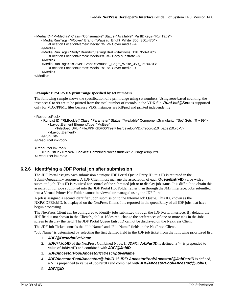```
…
<Media ID="MyMedias" Class="Consumable" Status="Available" PartIDKeys="RunTags">
    <Media RunTags="FCover" Brand="Wausau_Bright_White_350_350x470">
        <Location LocationName="Media1"/> <!- Cover media -->
    </Media>
    <Media RunTags="Body" Brand="SterlingUltraDigitalGloss_118_350x470">
        <Location LocationName="Media0"/> <!-- Body substrate -->
    </Media>
   <Media RunTags="BCover" Brand="Wausau_Bright_White_350_350x470">
        <Location LocationName="Media1"/> <!- Cover media -->
    </Media>
</Media>
…
```
#### **Example: PPML/VDX print range specified by set numbers**

The following sample shows the specification of a print range using set numbers. Using zero-based counting, the instances 0 to 99 are to be printed from the total number of records in the VDX file. *RunList/@Sets* is supported only for VDX/PPML files because VDX instances are RIPped and printed independently.

```
…
<ResourcePool>
```

```
<RunList ID="RLBooklet" Class="Parameter" Status="Available" ComponentGranularity="Set" Sets="0 ~ 99">
        <LayoutElement ElementType="Multiset">
            <FileSpec URL="File://KP-GDF00/TestFiles/develop/VDX/records10_pages10.vdx"/>
        </LayoutElement>
    </RunList>
</ResourceLinkPool>
…
<ResourceLinkPool>
    <RunListLink rRef="RLBooklet" CombinedProcessIndex="6" Usage="Input"/>
```
</ResourceLinkPool>

### <span id="page-38-0"></span>**6.2.6 Identifying a JDF Portal job after submission**

The JDF Portal assigns each submission a unique JDF Portal Queue Entry ID; this ID is returned in the SubmitQueueEntry response. A JDF Client must manage the association of each **QueueEntryID** value with a submitted job. This ID is required for control of the submitted job or to display job status. It is difficult to obtain this association for jobs submitted into the JDF Portal Hot Folder rather than through the JMF Interface. Jobs submitted into a Virtual Printer Hot Folder cannot be viewed or managed using the JDF Portal.

A job is assigned a second identifier upon submission to the Internal Job Queue. This ID, known as the NXP:CDFEJobID, is displayed on the NexPress Client. It is reported in the queueEntry of all JDF jobs that have begun processing.

The NexPress Client can be configured to identify jobs submitted through the JDF Portal Interface. By default, the JDF field is not shown in the Client's job list. If desired, change the preferences of one or more tabs in the Jobs screen to display the field. The JDF Portal Queue Entry ID cannot be displayed on the NexPress Client.

The JDF Job Ticket controls the "Job Name" and "File Name" fields in the NexPress Client.

"Job Name" is determined by selecting the first defined field in the JDF job ticket from the following prioritized list:

- 1. *JDF/@DescriptiveName*
- 2. *JDF/@JobID* of the NexPress Combined Node. If *JDF/@JobPartID* is defined, a '-' is prepended to value of JobPartID and combined with *JDF/@JobID*.
- 3. *JDF/AncestorPool/Ancestor/@DescriptiveName*
- 4. *JDF/AncestorPool/Ancestor/@JobID*. If *JDF/ AncestorPool/Ancestor/@JobPartID* is defined, a '-' is prepended to value of JobPartID and combined with *JDF/AncestorPool/Ancestor/@JobID*.
- 5. *JDF/@ID*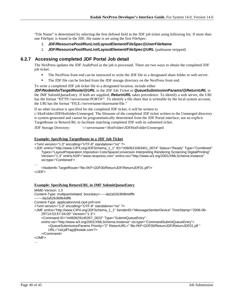"File Name" is determined by selecting the first defined field in the JDF job ticket using following list. If more than one FileSpec is found in the JDF, file name is set using the first FileSpec:

- 1. *JDF/ResourcePool/RunList/LayoutElement/FileSpec@UserFileName*
- 2. *JDF/ResourcePool/RunList/LayoutElement/FileSpec@URL* (pathname stripped)

### <span id="page-39-0"></span>**6.2.7 Accessing completed JDF Portal Job detail**

The NexPress updates the JDF AuditPool as the job is processed. There are two ways to obtain the completed JDF job ticket:

- The NexPress front end can be instructed to write the JDF file to a designated share folder or web server.
- The JDF file can be fetched from the JDF storage directory on the NexPress front end.
- To write a completed JDF job ticket file to a designated location, include either

*JDF/NodeInfo/TargetRoute/@URL* in the JDF Job Ticket or *QueueSubmissionParams/@ReturnURL* in the JMF SubmitQueueEntry. If both are supplied, *ReturnURL* takes precedence. To identify a web server, the URI has the format "HTTP://servername:PORT#/". To identify a file share that is writeable by the local system account, the URI has the format "FILE://servername/sharename/file."

If no other location is specified for the completed JDF ticket, it will be written to

c:\HotFolder\JDFHotfolder\Unmerged. The filename of the completed JDF ticket written to the Unmerged directory is system-generated and cannot be programmatically determined from the JDF Portal interface; use an explicit TargetRoute or ReturnURL to facilitate matching completed JDF with its submitted ticket.

JDF Storage Directory: \\<servername>\HotFolder\JDFHotFolder\Unmerged

#### **Example: Specifying TargetRoute in a JDF Job Ticket**

<?xml version="1.0" encoding="UTF-8" standalone="no" ?>

<JDF xmlns="http://www.CIP4.org/JDFSchema\_1\_1" ID="n060621083401\_0074" Status="Ready" Type="Combined" Types="LayoutPreparation Imposition ColorSpaceConversion Interpreting Rendering Screening DigitalPrinting" Version="1.3" xmlns:NXP="www.nexpress.com" xmlns:xsi="http://www.w3.org/2001/XMLSchema-instance" xsi:type="Combined">

…

<NodeInfo TargetRoute="file://KP-GDF00/ReturnJDF/ReturnJDF01.jdf"/> </JDF>

#### **Example: Specifying ReturnURL in JMF SubmitQueueEntry**

MIME-Version: 1.0 Content-Type: multipart/related; boundary=-----da2a52b369b4dffb -------da2a52b369b4dffb Content-Type: application/vnd.cip4-jmf+xml <?xml version="1.0" encoding="UTF-8" standalone="no" ?> <JMF xmlns="http://www.CIP4.org/JDFSchema\_1\_1" SenderID="MessageSenderDevice" TimeStamp="2006-06- 29T14:53:57-04:00" Version="1.3"> <Command ID="m060629145357\_0022" Type="SubmitQueueEntry" xmlns:xsi="http://www.w3.org/2001/XMLSchema-instance" xsi:type="CommandSubmitQueueEntry"> <QueueSubmissionParams Priority="2" ReturnURL=" file://KP-GDF00/ReturnJDF/ReturnJDF01.jdf " URL="cid:jdfTag@kodak.com"/> </Command> </JMF>

…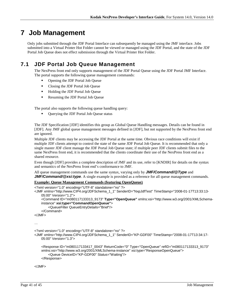# <span id="page-40-0"></span>**7 Job Management**

Only jobs submitted through the JDF Portal Interface can subsequently be managed using the JMF interface. Jobs submitted into a Virtual Printer Hot Folder cannot be viewed or managed using the JDF Portal, and the state of the JDF Portal Job Queue does not effect submission through the Virtual Printer Hot Folder.

# <span id="page-40-1"></span>**7.1 JDF Portal Job Queue Management**

The NexPress front end only supports management of the JDF Portal Queue using the JDF Portal JMF Interface. The portal supports the following queue management commands:

- Opening the JDF Portal Job Queue
- Closing the JDF Portal Job Queue
- **Holding the JDF Portal Job Queue**
- Resuming the JDF Portal Job Queue

The portal also supports the following queue handling query:

Querying the JDF Portal Job Queue status

The JDF Specification [JDF] identifies this group as Global Queue Handling messages. Details can be found in [JDF]. Any JMF global queue management messages defined in [JDF], but not supported by the NexPress front end are ignored.

Multiple JDF clients may be accessing the JDF Portal at the same time. Obvious race conditions will exist if multiple JDF clients attempt to control the state of the same JDF Portal Job Queue. It is recommended that only a single master JDF client manage the JDF Portal Job Queue state; if multiple peer JDF clients submit files to the same NexPress front end, it is recommended that the clients coordinate their use of the NexPress front end as a shared resource.

Even though [JDF] provides a complete description of JMF and its use, refer to [KNDIR] for details on the syntax and semantics of the NexPress front end's conformance to JMF.

All queue management commands use the same syntax, varying only by *JMF/Command/@Type* and *JMF/Command/@xsi:type.* A single example is provided as a reference for all queue management commands.

#### **Example: Queue Management Commands (featuring OpenQueue)**

```
<?xml version="1.0" encoding="UTF-8" standalone="no" ?>
<JMF xmlns="http://www.CIP4.org/JDFSchema_1_1" SenderID="NxpJdfTest" TimeStamp="2008-01-17T13:33:13-
    05:00" Version="1.2">
     <Command ID="m080117133313_9173" Type="OpenQueue" xmlns:xsi="http://www.w3.org/2001/XMLSchema-
    instance" xsi:type="CommandOpenQueue">
         <QueueFilter QueueEntryDetails="Brief"/>
     </Command>
</JMF>
…
<?xml version="1.0" encoding="UTF-8" standalone="no" ?>
<JMF xmlns="http://www.CIP4.org/JDFSchema_1_1" SenderID="KP-GDF00" TimeStamp="2008-01-17T13:34:17-
    05:00" Version="1.3">
     <Response ID="m080117133417_0043" ReturnCode="0" Type="OpenQueue" refID="m080117133313_9173" 
    xmlns:xsi="http://www.w3.org/2001/XMLSchema-instance" xsi:type="ResponseOpenQueue">
         <Queue DeviceID="KP-GDF00" Status="Waiting"/>
     </Response>
```
</JMF>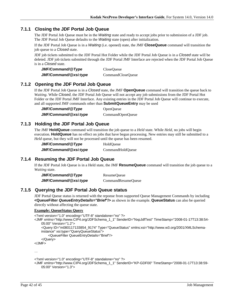### <span id="page-41-0"></span>**7.1.1 Closing the JDF Portal Job Queue**

The JDF Portal Job Queue must be in the *Waiting* state and ready to accept jobs prior to submission of a JDF job. The JDF Portal Job Queue defaults to the *Waiting* state (open) after initialization.

If the JDF Portal Job Queue is in a *Waiting* (i.e. opened) state, the JMF **CloseQueue** command will transition the job queue to a *Closed* state.

JDF job tickets submitted to the JDF Portal Hot Folder while the JDF Portal Job Queue is in a *Closed* state will be deleted. JDF job tickets submitted through the JDF Portal JMF Interface are rejected when the JDF Portal Job Queue is in a *Closed* state.

| JMF/Command/@Type     | <b>CloseQueue</b> |
|-----------------------|-------------------|
| JMF/Command/@xsi:type | CommandCloseQueue |

### <span id="page-41-1"></span>**7.1.2 Opening the JDF Portal Job Queue**

If the JDF Portal Job Queue is in a *Closed* state, the JMF **OpenQueue** command will transition the queue back to *Waiting*. While *Closed*, the JDF Portal Job Queue will not accept any job submissions from the JDF Portal Hot Folder or the JDF Portal JMF Interface. Any existing entries in the JDF Portal Job Queue will continue to execute, and all supported JMF commands other than **SubmitQueueEntry** may be used

JMF/Command/@Type OpenQueue *JMF/Command/@xsi:type* CommandOpenQueue

## <span id="page-41-2"></span>**7.1.3 Holding the JDF Portal Job Queue**

The JMF **HoldQueue** command will transition the job queue to a *Held* state. While *Held*, no jobs will begin execution. **HoldQueue** has no effect on jobs that have begun processing. New entries may still be submitted to a *Held* queue, but they will not be processed until the queue has been resumed.

| JMF/Command/@Type     | HoldOueue        |
|-----------------------|------------------|
| JMF/Command/@xsi:type | CommandHoldOueue |

### <span id="page-41-3"></span>**7.1.4 Resuming the JDF Portal Job Queue**

If the JDF Portal Job Queue is in a Held state, the JMF **ResumeQueue** command will transition the job queue to a *Waiting* state.

| JMF/Command/@Type     | ResumeQueue        |
|-----------------------|--------------------|
| JMF/Command/@xsi:type | CommandResumeQueue |

### <span id="page-41-4"></span>**7.1.5 Querying the JDF Portal Job Queue status**

JDF Portal Queue status is returned with the reponse from supported Queue Management Commands by including **<QueueFilter** *QueueEntryDetails="Brief***"/>** as shown in the example. **QueueStatus** can also be queried directly without affecting the queue state.

#### **Example: QueueStatus Query**

```
<?xml version="1.0" encoding="UTF-8" standalone="no" ?>
<JMF xmlns="http://www.CIP4.org/JDFSchema_1_1" SenderID="NxpJdfTest" TimeStamp="2008-01-17T13:38:54-
   05:00" Version="1.2">
     <Query ID="m080117133854_9174" Type="QueueStatus" xmlns:xsi="http://www.w3.org/2001/XMLSchema-
    instance" xsi:type="QueryQueueStatus">
         <QueueFilter QueueEntryDetails="Brief"/>
     </Query>
</JMF>
```
…

```
<?xml version="1.0" encoding="UTF-8" standalone="no" ?>
```

```
<JMF xmlns="http://www.CIP4.org/JDFSchema_1_1" SenderID="KP-GDF00" TimeStamp="2008-01-17T13:38:59-
   05:00" Version="1.3">
```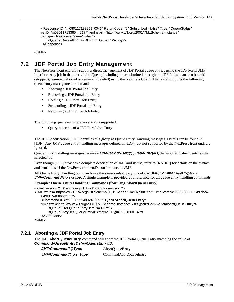```
 <Response ID="m080117133859_0043" ReturnCode="0" Subscribed="false" Type="QueueStatus" 
refID="m080117133854_9174" xmlns:xsi="http://www.w3.org/2001/XMLSchema-instance" 
xsi:type="ResponseQueueStatus">
     <Queue DeviceID="KP-GDF00" Status="Waiting"/>
</Response>
```
</JMF>

# <span id="page-42-0"></span>**7.2 JDF Portal Job Entry Management**

The NexPress front end only supports direct management of JDF Portal queue entries using the JDF Portal JMF interface. Any job in the internal Job Queue, including those submitted through the JDF Portal, can also be held (stopped), resumed, aborted or removed (deleted) using the NexPress Client. The portal supports the following queue entry management commands:

- Aborting a JDF Portal Job Entry
- **Removing a JDF Portal Job Entry**
- **Holding a JDF Portal Job Entry**
- Suspending a JDF Portal Job Entry
- Resuming a JDF Portal Job Entry

The following queue entry queries are also supported:

Querying status of a JDF Portal Job Entry

The JDF Specification [JDF] identifies this group as Queue Entry Handling messages. Details can be found in [JDF]. Any JMF queue entry handling messages defined in [JDF], but not supported by the NexPress front end, are ignored.

Queue Entry Handling messages require a *QueueEntryDef/@QueueEntryID*; the supplied value identifies the affected job.

Even though [JDF] provides a complete description of JMF and its use, refer to [KNDIR] for details on the syntax and semantics of the NexPress front end's conformance to JMF.

All Queue Entry Handling commands use the same syntax, varying only by *JMF/Command/@Type* and *JMF/Command/@xsi:type.* A single example is provided as a reference for all queue entry handling commands.

### **Example: Queue Entry Handling Commands (featuring AbortQueueEntry)**

```
<?xml version="1.0" encoding="UTF-8" standalone="no" ?>
<JMF xmlns="http://www.CIP4.org/JDFSchema_1_1" SenderID="NxpJdfTest" TimeStamp="2006-06-21T14:09:24-
   04:00" Version="1.1">
    <Command ID="m060621140924_0092" Type="AbortQueueEntry"
   xmlns:xsi="http://www.w3.org/2001/XMLSchema-instance" xsi:type="CommandAbortQueueEntry">
        <QueueFilter QueueEntryDetails="Brief"/>
        <QueueEntryDef QueueEntryID="Nxp2100@KP-GDF00_32"/>
    </Command>
</JMF>
```
### <span id="page-42-1"></span>**7.2.1 Aborting a JDF Portal Job Entry**

The JMF **AbortQueueEntry** command will abort the JDF Portal Queue Entry matching the value of *Command/QueueEntryDef/@QueueEntryID*.

*JMF/Command/@Type* AbortQueueEntry *JMF/Command/@xsi:type* CommandAbortQueueEntry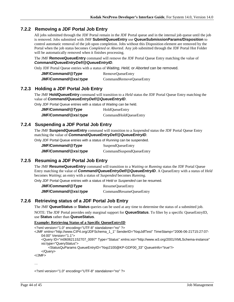## <span id="page-43-0"></span>**7.2.2 Removing a JDF Portal Job Entry**

All jobs submitted through the JDF Portal remain in the JDF Portal queue and in the internal job queue until the job is removed. Jobs submitted with JMF **SubmitQueueEntry** use **QueueSubmissionParams/Disposition** to control automatic removal of the job upon completion. Jobs without this Disposition element are removed by the Portal when the job status becomes *Completed* or *Aborted*. Any job submitted through the JDF Portal Hot Folder will be automatically removed when it finishes processing.

The JMF **RemoveQueueEntry** command will remove the JDF Portal Queue Entry matching the value of *Command/QueueEntryDef/@QueueEntryID*.

Only JDF Portal Queue entries with a status of *Waiting, Held,* or *Aborted* can be removed.

| JMF/Command/@Type     | RemoveQueueEntry        |
|-----------------------|-------------------------|
| JMF/Command/@xsi:type | CommandRemoveQueueEntry |

### <span id="page-43-1"></span>**7.2.3 Holding a JDF Portal Job Entry**

The JMF **HoldQueueEntry** command will transition to a *Held* status the JDF Portal Queue Entry matching the value of *Command/QueueEntryDef/@QueueEntryID*.

Only JDF Portal Queue entries with a status of *Waiting* can be held.

| JMF/Command/@Type     | <b>HoldQueueEntry</b> |
|-----------------------|-----------------------|
| JMF/Command/@xsi:type | CommandHoldQueueEntry |

### <span id="page-43-2"></span>**7.2.4 Suspending a JDF Portal Job Entry**

The JMF **SuspendQueueEntry** command will transition to a *Suspended* status the JDF Portal Queue Entry matching the value of *Command/QueueEntryDef/@QueueEntryID*.

Only JDF Portal Queue entries with a status of *Running* can be suspended.

| JMF/Command/@Type     | SuspendQueueEntry        |
|-----------------------|--------------------------|
| JMF/Command/@xsi:type | CommandSuspendQueueEntry |

## <span id="page-43-3"></span>**7.2.5 Resuming a JDF Portal Job Entry**

The JMF **ResumeQueueEntry** command will transition to a *Waiting* or *Running* status the JDF Portal Queue Entry matching the value of *Command/QueueEntryDef/@QueueEntryID*. A QueueEntry with a status of *Held* becomes *Waiting*; an entry with a status of *Suspended* becomes *Running*.

Only JDF Portal Queue entries with a status of *Held* or *Suspended* can be resumed.

*JMF/Command/@Type* ResumeQueueEntry *JMF/Command/@xsi:type* CommandResumeQueueEntry

### <span id="page-43-4"></span>**7.2.6 Retrieving status of a JDF Portal Job Entry**

The JMF **QueueStatus** or **Status** queries can be used at any time to determine the status of a submitted job.

NOTE: The JDF Portal provides only marginal support for **QueueStatus**. To filter by a specific QueueEntryID, use **Status** rather than **QueueStatus**.

#### **Example: Retrieving Status of a Specific QueueEntryID**

<?xml version="1.0" encoding="UTF-8" standalone="no" ?>

- <JMF xmlns="http://www.CIP4.org/JDFSchema\_1\_1" SenderID="NxpJdfTest" TimeStamp="2006-06-21T15:27:07- 04:00" Version="1.1">
	- <Query ID="m060621152707\_0097" Type="Status" xmlns:xsi="http://www.w3.org/2001/XMLSchema-instance" xsi:type="QueryStatus">

<StatusQuParams QueueEntryID="Nxp2100@KP-GDF00\_33" QueueInfo="true"/>

```
 </Query>
```
</JMF>

…

<?xml version="1.0" encoding="UTF-8" standalone="no" ?>